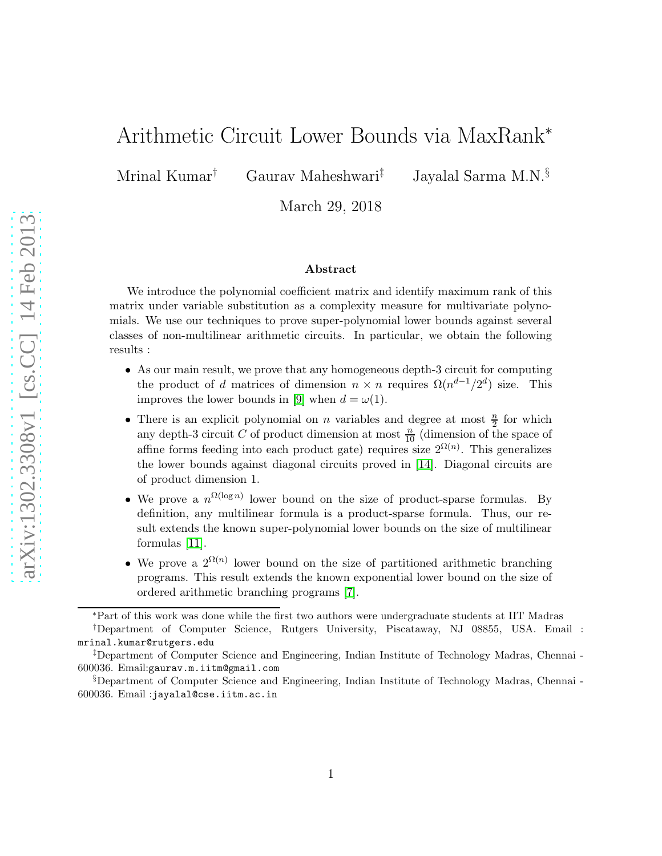# Arithmetic Circuit Lower Bounds via MaxRank<sup>∗</sup>

Mrinal Kumar† Gaurav Maheshwari‡ Jayalal Sarma M.N.§

March 29, 2018

#### Abstract

We introduce the polynomial coefficient matrix and identify maximum rank of this matrix under variable substitution as a complexity measure for multivariate polynomials. We use our techniques to prove super-polynomial lower bounds against several classes of non-multilinear arithmetic circuits. In particular, we obtain the following results :

- As our main result, we prove that any homogeneous depth-3 circuit for computing the product of d matrices of dimension  $n \times n$  requires  $\Omega(n^{d-1}/2^d)$  size. This improves the lower bounds in [\[9\]](#page-16-0) when  $d = \omega(1)$ .
- There is an explicit polynomial on n variables and degree at most  $\frac{n}{2}$  for which There is an explicit polynomial on *n* variables and degree at most  $\frac{1}{2}$  for which<br>any depth-3 circuit *C* of product dimension at most  $\frac{n}{10}$  (dimension of the space of affine forms feeding into each product gate) requires size  $2^{\Omega(n)}$ . This generalizes the lower bounds against diagonal circuits proved in [\[14\]](#page-17-0). Diagonal circuits are of product dimension 1.
- We prove a  $n^{\Omega(\log n)}$  lower bound on the size of product-sparse formulas. By definition, any multilinear formula is a product-sparse formula. Thus, our result extends the known super-polynomial lower bounds on the size of multilinear formulas [\[11\]](#page-16-1).
- We prove a  $2^{\Omega(n)}$  lower bound on the size of partitioned arithmetic branching programs. This result extends the known exponential lower bound on the size of ordered arithmetic branching programs [\[7\]](#page-16-2).

<sup>∗</sup>Part of this work was done while the first two authors were undergraduate students at IIT Madras

<sup>†</sup>Department of Computer Science, Rutgers University, Piscataway, NJ 08855, USA. Email : mrinal.kumar@rutgers.edu

<sup>‡</sup>Department of Computer Science and Engineering, Indian Institute of Technology Madras, Chennai - 600036. Email:gaurav.m.iitm@gmail.com

<sup>§</sup>Department of Computer Science and Engineering, Indian Institute of Technology Madras, Chennai - 600036. Email :jayalal@cse.iitm.ac.in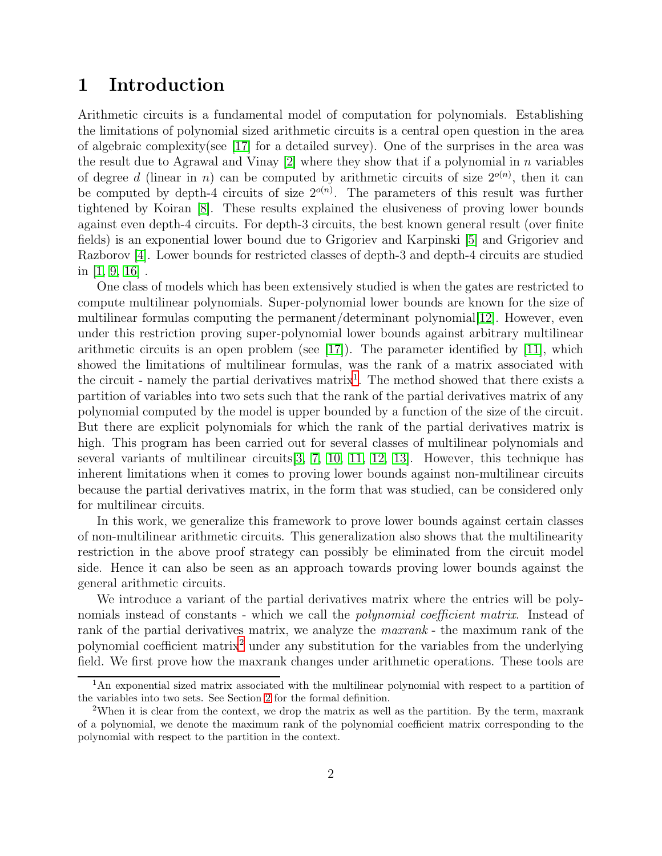### 1 Introduction

Arithmetic circuits is a fundamental model of computation for polynomials. Establishing the limitations of polynomial sized arithmetic circuits is a central open question in the area of algebraic complexity(see [\[17\]](#page-17-1) for a detailed survey). One of the surprises in the area was the result due to Agrawal and Vinay  $[2]$  where they show that if a polynomial in n variables of degree d (linear in n) can be computed by arithmetic circuits of size  $2^{o(n)}$ , then it can be computed by depth-4 circuits of size  $2^{o(n)}$ . The parameters of this result was further tightened by Koiran [\[8\]](#page-16-4). These results explained the elusiveness of proving lower bounds against even depth-4 circuits. For depth-3 circuits, the best known general result (over finite fields) is an exponential lower bound due to Grigoriev and Karpinski [\[5\]](#page-16-5) and Grigoriev and Razborov [\[4\]](#page-16-6). Lower bounds for restricted classes of depth-3 and depth-4 circuits are studied in  $[1, 9, 16]$  $[1, 9, 16]$  $[1, 9, 16]$ .

One class of models which has been extensively studied is when the gates are restricted to compute multilinear polynomials. Super-polynomial lower bounds are known for the size of multilinear formulas computing the permanent/determinant polynomial [\[12\]](#page-17-3). However, even under this restriction proving super-polynomial lower bounds against arbitrary multilinear arithmetic circuits is an open problem (see  $[17]$ ). The parameter identified by  $[11]$ , which showed the limitations of multilinear formulas, was the rank of a matrix associated with the circuit - namely the partial derivatives  $matrix<sup>1</sup>$  $matrix<sup>1</sup>$  $matrix<sup>1</sup>$ . The method showed that there exists a partition of variables into two sets such that the rank of the partial derivatives matrix of any polynomial computed by the model is upper bounded by a function of the size of the circuit. But there are explicit polynomials for which the rank of the partial derivatives matrix is high. This program has been carried out for several classes of multilinear polynomials and several variants of multilinear circuits  $[3, 7, 10, 11, 12, 13]$  $[3, 7, 10, 11, 12, 13]$  $[3, 7, 10, 11, 12, 13]$  $[3, 7, 10, 11, 12, 13]$  $[3, 7, 10, 11, 12, 13]$  $[3, 7, 10, 11, 12, 13]$ . However, this technique has inherent limitations when it comes to proving lower bounds against non-multilinear circuits because the partial derivatives matrix, in the form that was studied, can be considered only for multilinear circuits.

In this work, we generalize this framework to prove lower bounds against certain classes of non-multilinear arithmetic circuits. This generalization also shows that the multilinearity restriction in the above proof strategy can possibly be eliminated from the circuit model side. Hence it can also be seen as an approach towards proving lower bounds against the general arithmetic circuits.

We introduce a variant of the partial derivatives matrix where the entries will be polynomials instead of constants - which we call the *polynomial coefficient matrix*. Instead of rank of the partial derivatives matrix, we analyze the *maxrank* - the maximum rank of the polynomial coefficient matrix[2](#page-1-1) under any substitution for the variables from the underlying field. We first prove how the maxrank changes under arithmetic operations. These tools are

<span id="page-1-0"></span><sup>&</sup>lt;sup>1</sup>An exponential sized matrix associated with the multilinear polynomial with respect to a partition of the variables into two sets. See Section [2](#page-3-0) for the formal definition.

<span id="page-1-1"></span><sup>2</sup>When it is clear from the context, we drop the matrix as well as the partition. By the term, maxrank of a polynomial, we denote the maximum rank of the polynomial coefficient matrix corresponding to the polynomial with respect to the partition in the context.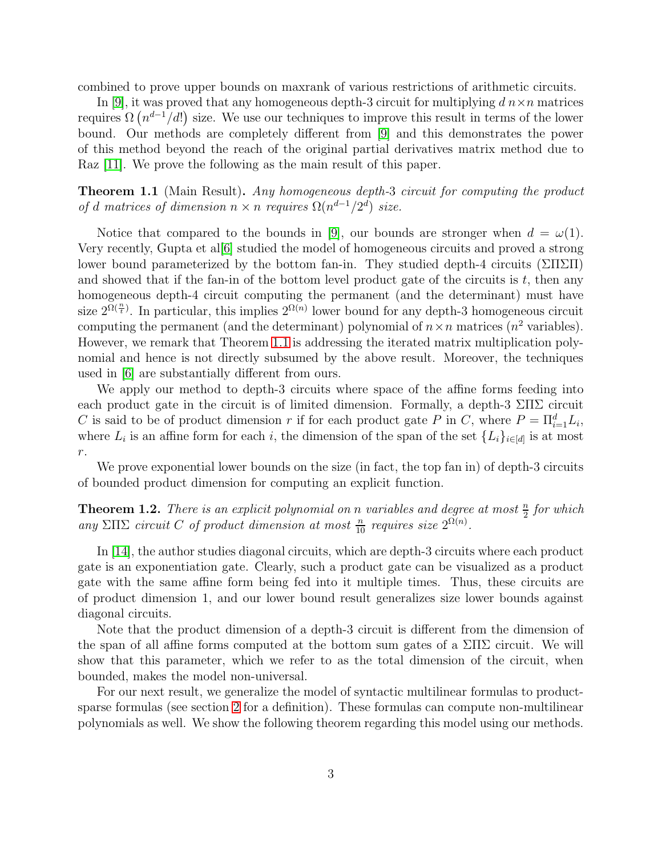combined to prove upper bounds on maxrank of various restrictions of arithmetic circuits.

In [\[9\]](#page-16-0), it was proved that any homogeneous depth-3 circuit for multiplying  $d\,n\times n$  matrices requires  $\Omega(n^{d-1}/d!)$  size. We use our techniques to improve this result in terms of the lower bound. Our methods are completely different from [\[9\]](#page-16-0) and this demonstrates the power of this method beyond the reach of the original partial derivatives matrix method due to Raz [\[11\]](#page-16-1). We prove the following as the main result of this paper.

<span id="page-2-0"></span>**Theorem 1.1** (Main Result). Any homogeneous depth-3 circuit for computing the product of d matrices of dimension  $n \times n$  requires  $\Omega(n^{d-1}/2^d)$  size.

Notice that compared to the bounds in [\[9\]](#page-16-0), our bounds are stronger when  $d = \omega(1)$ . Very recently, Gupta et al[\[6\]](#page-16-10) studied the model of homogeneous circuits and proved a strong lower bound parameterized by the bottom fan-in. They studied depth-4 circuits ( $\Sigma\Pi\Sigma\Pi$ ) and showed that if the fan-in of the bottom level product gate of the circuits is  $t$ , then any homogeneous depth-4 circuit computing the permanent (and the determinant) must have size  $2^{\Omega(\frac{n}{t})}$ . In particular, this implies  $2^{\Omega(n)}$  lower bound for any depth-3 homogeneous circuit computing the permanent (and the determinant) polynomial of  $n \times n$  matrices  $(n^2$  variables). However, we remark that Theorem [1.1](#page-2-0) is addressing the iterated matrix multiplication polynomial and hence is not directly subsumed by the above result. Moreover, the techniques used in [\[6\]](#page-16-10) are substantially different from ours.

We apply our method to depth-3 circuits where space of the affine forms feeding into each product gate in the circuit is of limited dimension. Formally, a depth-3  $\Sigma\Pi\Sigma$  circuit C is said to be of product dimension r if for each product gate P in C, where  $P = \prod_{i=1}^{d} L_i$ , where  $L_i$  is an affine form for each i, the dimension of the span of the set  $\{L_i\}_{i\in[d]}$  is at most  $\,r.\,$ 

We prove exponential lower bounds on the size (in fact, the top fan in) of depth-3 circuits of bounded product dimension for computing an explicit function.

**Theorem 1.2.** There is an explicit polynomial on n variables and degree at most  $\frac{n}{2}$  for which any  $\Sigma \Pi \Sigma$  circuit C of product dimension at most  $\frac{n}{10}$  requires size  $2^{\Omega(n)}$ .

In [\[14\]](#page-17-0), the author studies diagonal circuits, which are depth-3 circuits where each product gate is an exponentiation gate. Clearly, such a product gate can be visualized as a product gate with the same affine form being fed into it multiple times. Thus, these circuits are of product dimension 1, and our lower bound result generalizes size lower bounds against diagonal circuits.

Note that the product dimension of a depth-3 circuit is different from the dimension of the span of all affine forms computed at the bottom sum gates of a  $\Sigma\Pi\Sigma$  circuit. We will show that this parameter, which we refer to as the total dimension of the circuit, when bounded, makes the model non-universal.

For our next result, we generalize the model of syntactic multilinear formulas to productsparse formulas (see section [2](#page-3-0) for a definition). These formulas can compute non-multilinear polynomials as well. We show the following theorem regarding this model using our methods.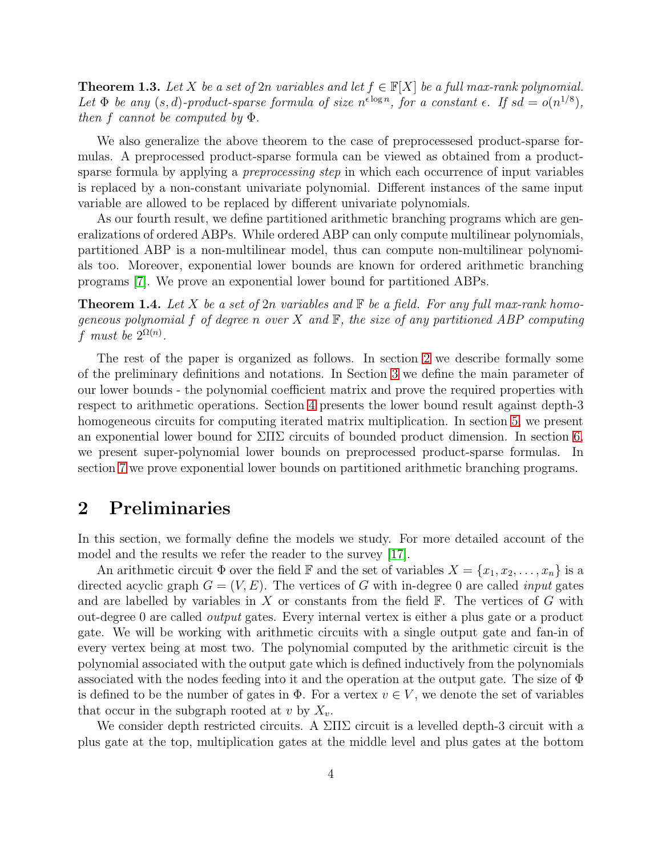**Theorem 1.3.** Let X be a set of 2n variables and let  $f \in \mathbb{F}[X]$  be a full max-rank polynomial. Let  $\Phi$  be any  $(s, d)$ -product-sparse formula of size  $n^{\epsilon \log n}$ , for a constant  $\epsilon$ . If  $sd = o(n^{1/8})$ , then f cannot be computed by  $\Phi$ .

We also generalize the above theorem to the case of preprocessesed product-sparse formulas. A preprocessed product-sparse formula can be viewed as obtained from a productsparse formula by applying a *preprocessing step* in which each occurrence of input variables is replaced by a non-constant univariate polynomial. Different instances of the same input variable are allowed to be replaced by different univariate polynomials.

As our fourth result, we define partitioned arithmetic branching programs which are generalizations of ordered ABPs. While ordered ABP can only compute multilinear polynomials, partitioned ABP is a non-multilinear model, thus can compute non-multilinear polynomials too. Moreover, exponential lower bounds are known for ordered arithmetic branching programs [\[7\]](#page-16-2). We prove an exponential lower bound for partitioned ABPs.

**Theorem 1.4.** Let X be a set of 2n variables and  $\mathbb{F}$  be a field. For any full max-rank homogeneous polynomial f of degree n over X and  $\mathbb{F}$ , the size of any partitioned ABP computing f must be  $2^{\Omega(n)}$ .

The rest of the paper is organized as follows. In section [2](#page-3-0) we describe formally some of the preliminary definitions and notations. In Section [3](#page-5-0) we define the main parameter of our lower bounds - the polynomial coefficient matrix and prove the required properties with respect to arithmetic operations. Section [4](#page-7-0) presents the lower bound result against depth-3 homogeneous circuits for computing iterated matrix multiplication. In section [5,](#page-10-0) we present an exponential lower bound for  $\Sigma\Pi\Sigma$  circuits of bounded product dimension. In section [6,](#page-12-0) we present super-polynomial lower bounds on preprocessed product-sparse formulas. In section [7](#page-15-0) we prove exponential lower bounds on partitioned arithmetic branching programs.

#### <span id="page-3-0"></span>2 Preliminaries

In this section, we formally define the models we study. For more detailed account of the model and the results we refer the reader to the survey [\[17\]](#page-17-1).

An arithmetic circuit  $\Phi$  over the field  $\mathbb F$  and the set of variables  $X = \{x_1, x_2, \ldots, x_n\}$  is a directed acyclic graph  $G = (V, E)$ . The vertices of G with in-degree 0 are called *input* gates and are labelled by variables in  $X$  or constants from the field  $\mathbb{F}$ . The vertices of  $G$  with out-degree 0 are called output gates. Every internal vertex is either a plus gate or a product gate. We will be working with arithmetic circuits with a single output gate and fan-in of every vertex being at most two. The polynomial computed by the arithmetic circuit is the polynomial associated with the output gate which is defined inductively from the polynomials associated with the nodes feeding into it and the operation at the output gate. The size of  $\Phi$ is defined to be the number of gates in  $\Phi$ . For a vertex  $v \in V$ , we denote the set of variables that occur in the subgraph rooted at v by  $X_v$ .

We consider depth restricted circuits. A  $\Sigma\Pi\Sigma$  circuit is a levelled depth-3 circuit with a plus gate at the top, multiplication gates at the middle level and plus gates at the bottom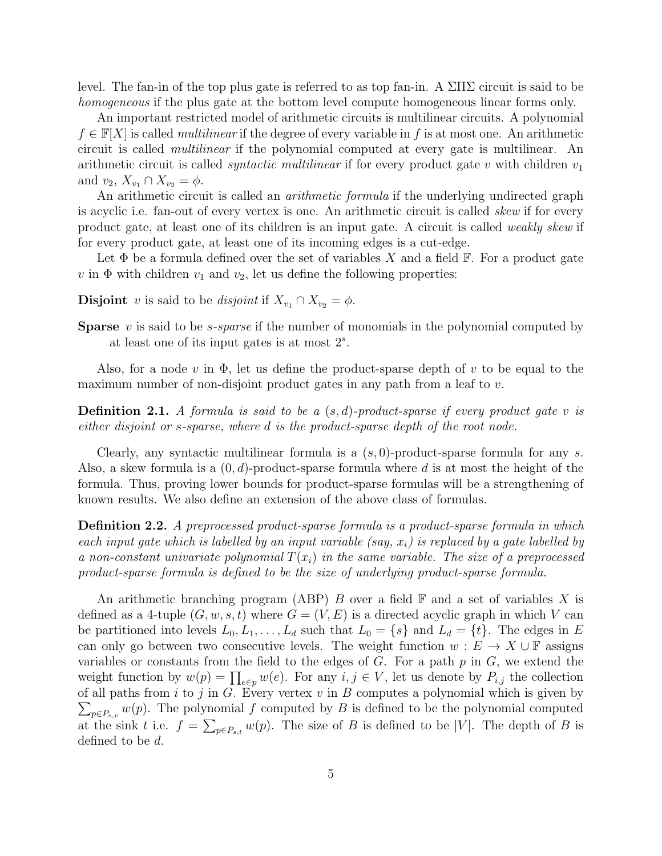level. The fan-in of the top plus gate is referred to as top fan-in. A  $\Sigma\Pi\Sigma$  circuit is said to be homogeneous if the plus gate at the bottom level compute homogeneous linear forms only.

An important restricted model of arithmetic circuits is multilinear circuits. A polynomial  $f \in \mathbb{F}[X]$  is called *multilinear* if the degree of every variable in f is at most one. An arithmetic circuit is called multilinear if the polynomial computed at every gate is multilinear. An arithmetic circuit is called *syntactic multilinear* if for every product gate v with children  $v_1$ and  $v_2, X_{v_1} \cap X_{v_2} = \phi$ .

An arithmetic circuit is called an *arithmetic formula* if the underlying undirected graph is acyclic i.e. fan-out of every vertex is one. An arithmetic circuit is called *skew* if for every product gate, at least one of its children is an input gate. A circuit is called weakly skew if for every product gate, at least one of its incoming edges is a cut-edge.

Let  $\Phi$  be a formula defined over the set of variables X and a field  $\mathbb F$ . For a product gate  $v$  in  $\Phi$  with children  $v_1$  and  $v_2$ , let us define the following properties:

- **Disjoint** v is said to be disjoint if  $X_{v_1} \cap X_{v_2} = \phi$ .
- **Sparse** v is said to be *s*-sparse if the number of monomials in the polynomial computed by at least one of its input gates is at most  $2<sup>s</sup>$ .

Also, for a node v in  $\Phi$ , let us define the product-sparse depth of v to be equal to the maximum number of non-disjoint product gates in any path from a leaf to  $v$ .

**Definition 2.1.** A formula is said to be a  $(s, d)$ -product-sparse if every product gate v is either disjoint or s-sparse, where d is the product-sparse depth of the root node.

Clearly, any syntactic multilinear formula is a  $(s, 0)$ -product-sparse formula for any s. Also, a skew formula is a  $(0, d)$ -product-sparse formula where d is at most the height of the formula. Thus, proving lower bounds for product-sparse formulas will be a strengthening of known results. We also define an extension of the above class of formulas.

Definition 2.2. A preprocessed product-sparse formula is a product-sparse formula in which each input gate which is labelled by an input variable (say,  $x_i$ ) is replaced by a gate labelled by a non-constant univariate polynomial  $T(x_i)$  in the same variable. The size of a preprocessed product-sparse formula is defined to be the size of underlying product-sparse formula.

An arithmetic branching program (ABP) B over a field  $\mathbb F$  and a set of variables X is defined as a 4-tuple  $(G, w, s, t)$  where  $G = (V, E)$  is a directed acyclic graph in which V can be partitioned into levels  $L_0, L_1, \ldots, L_d$  such that  $L_0 = \{s\}$  and  $L_d = \{t\}$ . The edges in E can only go between two consecutive levels. The weight function  $w : E \to X \cup F$  assigns variables or constants from the field to the edges of  $G$ . For a path  $p$  in  $G$ , we extend the weight function by  $w(p) = \prod_{e \in p} w(e)$ . For any  $i, j \in V$ , let us denote by  $P_{i,j}$  the collection of all paths from  $i$  to  $j$  in  $G$ . Every vertex  $v$  in  $B$  computes a polynomial which is given by  $\sum_{p \in P_{s,v}} w(p)$ . The polynomial f computed by B is defined to be the polynomial computed at the sink t i.e.  $f = \sum_{p \in P_{s,t}} w(p)$ . The size of B is defined to be |V|. The depth of B is defined to be d.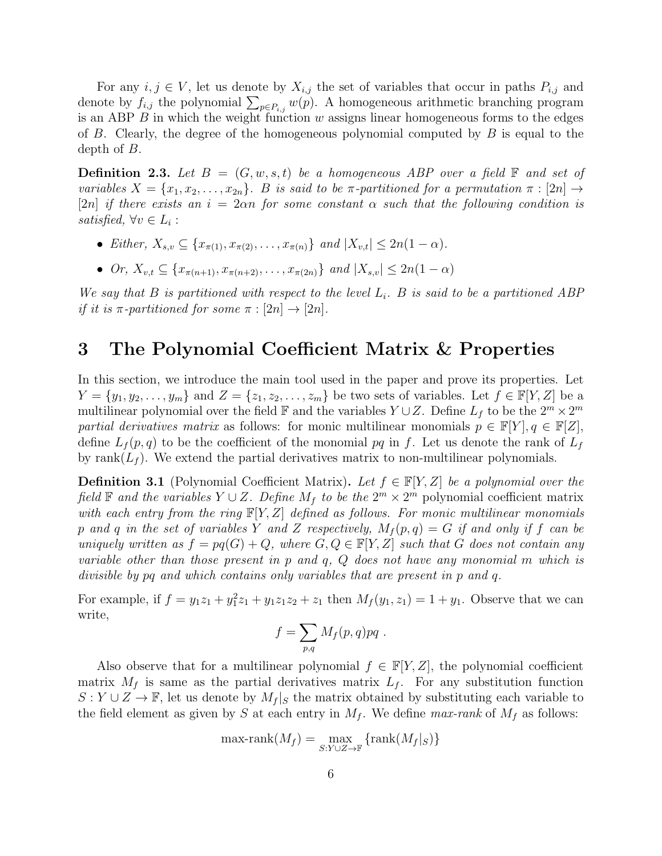For any  $i, j \in V$ , let us denote by  $X_{i,j}$  the set of variables that occur in paths  $P_{i,j}$  and denote by  $f_{i,j}$  the polynomial  $\sum_{p \in P_{i,j}} w(p)$ . A homogeneous arithmetic branching program is an ABP  $B$  in which the weight function  $w$  assigns linear homogeneous forms to the edges of B. Clearly, the degree of the homogeneous polynomial computed by  $B$  is equal to the depth of B.

**Definition 2.3.** Let  $B = (G, w, s, t)$  be a homogeneous ABP over a field  $\mathbb{F}$  and set of variables  $X = \{x_1, x_2, \ldots, x_{2n}\}.$  B is said to be  $\pi$ -partitioned for a permutation  $\pi : [2n] \rightarrow$ [2n] if there exists an  $i = 2\alpha n$  for some constant  $\alpha$  such that the following condition is satisfied,  $\forall v \in L_i$ :

- Either,  $X_{s,v} \subseteq \{x_{\pi(1)}, x_{\pi(2)}, \ldots, x_{\pi(n)}\}$  and  $|X_{v,t}| \leq 2n(1-\alpha)$ .
- Or,  $X_{v,t} \subseteq \{x_{\pi(n+1)}, x_{\pi(n+2)}, \ldots, x_{\pi(2n)}\}$  and  $|X_{s,v}| \le 2n(1-\alpha)$

We say that B is partitioned with respect to the level  $L_i$ . B is said to be a partitioned ABP if it is  $\pi$ -partitioned for some  $\pi : [2n] \rightarrow [2n]$ .

#### <span id="page-5-0"></span>3 The Polynomial Coefficient Matrix & Properties

In this section, we introduce the main tool used in the paper and prove its properties. Let  $Y = \{y_1, y_2, \ldots, y_m\}$  and  $Z = \{z_1, z_2, \ldots, z_m\}$  be two sets of variables. Let  $f \in \mathbb{F}[Y, Z]$  be a multilinear polynomial over the field  $\mathbb F$  and the variables  $Y \cup Z$ . Define  $L_f$  to be the  $2^m \times 2^m$ partial derivatives matrix as follows: for monic multilinear monomials  $p \in \mathbb{F}[Y], q \in \mathbb{F}[Z]$ , define  $L_f(p,q)$  to be the coefficient of the monomial pq in f. Let us denote the rank of  $L_f$ by rank( $L_f$ ). We extend the partial derivatives matrix to non-multilinear polynomials.

**Definition 3.1** (Polynomial Coefficient Matrix). Let  $f \in \mathbb{F}[Y, Z]$  be a polynomial over the field  $\mathbb F$  and the variables  $Y \cup Z$ . Define  $M_f$  to be the  $2^m \times 2^m$  polynomial coefficient matrix with each entry from the ring  $\mathbb{F}[Y, Z]$  defined as follows. For monic multilinear monomials p and q in the set of variables Y and Z respectively,  $M_f(p,q) = G$  if and only if f can be uniquely written as  $f = pq(G) + Q$ , where  $G, Q \in \mathbb{F}[Y, Z]$  such that G does not contain any variable other than those present in p and q, Q does not have any monomial m which is divisible by pq and which contains only variables that are present in p and q.

For example, if  $f = y_1 z_1 + y_1^2 z_1 + y_1 z_1 z_2 + z_1$  then  $M_f(y_1, z_1) = 1 + y_1$ . Observe that we can write,

$$
f = \sum_{p,q} M_f(p,q)pq .
$$

Also observe that for a multilinear polynomial  $f \in \mathbb{F}[Y, Z]$ , the polynomial coefficient matrix  $M_f$  is same as the partial derivatives matrix  $L_f$ . For any substitution function  $S: Y \cup Z \to \mathbb{F}$ , let us denote by  $M_f|_S$  the matrix obtained by substituting each variable to the field element as given by S at each entry in  $M_f$ . We define max-rank of  $M_f$  as follows:

$$
\max\text{-rank}(M_f) = \max_{S:Y\cup Z\to \mathbb{F}} \{\text{rank}(M_f|_S)\}
$$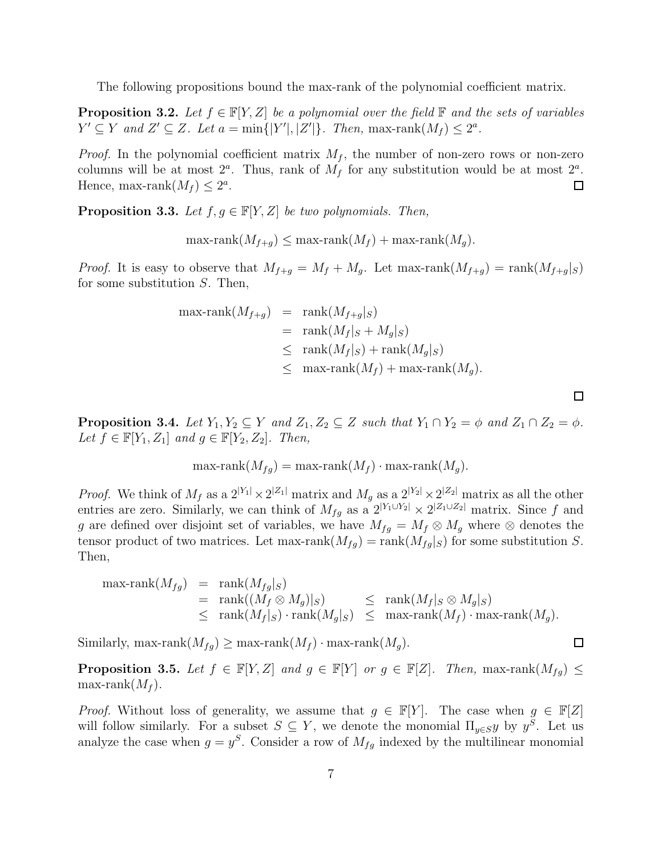The following propositions bound the max-rank of the polynomial coefficient matrix.

<span id="page-6-2"></span>**Proposition 3.2.** Let  $f \in \mathbb{F}[Y, Z]$  be a polynomial over the field  $\mathbb{F}$  and the sets of variables  $Y' \subseteq Y$  and  $Z' \subseteq Z$ . Let  $a = \min\{|Y'|, |Z'|\}$ . Then,  $\max\text{-rank}(M_f) \leq 2^a$ .

*Proof.* In the polynomial coefficient matrix  $M_f$ , the number of non-zero rows or non-zero columns will be at most  $2^a$ . Thus, rank of  $M_f$  for any substitution would be at most  $2^a$ . Hence, max-rank $(M_f) \leq 2^a$ . □

<span id="page-6-1"></span>**Proposition 3.3.** Let  $f, g \in \mathbb{F}[Y, Z]$  be two polynomials. Then,

 $\max\text{-rank}(M_{f+q}) \leq \max\text{-rank}(M_f) + \max\text{-rank}(M_q).$ 

*Proof.* It is easy to observe that  $M_{f+q} = M_f + M_q$ . Let max-rank $(M_{f+q}) = \text{rank}(M_{f+q}|_S)$ for some substitution S. Then,

$$
\begin{array}{rcl}\n\max\text{-rank}(M_{f+g}) & = & \text{rank}(M_{f+g}|_S) \\
& = & \text{rank}(M_f|_S + M_g|_S) \\
& \leq & \text{rank}(M_f|_S) + \text{rank}(M_g|_S) \\
& \leq & \text{max-rank}(M_f) + \text{max-rank}(M_g).\n\end{array}
$$

<span id="page-6-3"></span>**Proposition 3.4.** Let  $Y_1, Y_2 \subseteq Y$  and  $Z_1, Z_2 \subseteq Z$  such that  $Y_1 \cap Y_2 = \phi$  and  $Z_1 \cap Z_2 = \phi$ . Let  $f \in \mathbb{F}[Y_1, Z_1]$  and  $g \in \mathbb{F}[Y_2, Z_2]$ . Then,

 $\Box$ 

 $\Box$ 

$$
\max\text{-rank}(M_{fg}) = \max\text{-rank}(M_f) \cdot \max\text{-rank}(M_g).
$$

*Proof.* We think of  $M_f$  as a  $2^{|Y_1|} \times 2^{|Z_1|}$  matrix and  $M_g$  as a  $2^{|Y_2|} \times 2^{|Z_2|}$  matrix as all the other entries are zero. Similarly, we can think of  $M_{fg}$  as a  $2^{|Y_1 \cup Y_2|} \times 2^{|Z_1 \cup Z_2|}$  matrix. Since f and g are defined over disjoint set of variables, we have  $M_{fg} = M_f \otimes M_g$  where  $\otimes$  denotes the tensor product of two matrices. Let max-rank $(M_{fg})$  = rank $(M_{fg}|_S)$  for some substitution S. Then,

$$
\begin{array}{rcl}\n\max\text{-rank}(M_{fg}) & = & \text{rank}(M_{fg}|_S) \\
& = & \text{rank}((M_f \otimes M_g)|_S) \\
& \leq & \text{rank}(M_f|_S) \cdot \text{rank}(M_g|_S) \\
& \leq & \text{max-rank}(M_f) \cdot \max\text{-rank}(M_g).\n\end{array}
$$

Similarly, max-rank $(M_{fq}) \geq$  max-rank $(M_f) \cdot$  max-rank $(M_q)$ .

<span id="page-6-0"></span>**Proposition 3.5.** Let  $f \in \mathbb{F}[Y, Z]$  and  $g \in \mathbb{F}[Y]$  or  $g \in \mathbb{F}[Z]$ . Then, max-rank $(M_{fg}) \leq$ max-rank $(M_f)$ .

*Proof.* Without loss of generality, we assume that  $g \in \mathbb{F}[Y]$ . The case when  $g \in \mathbb{F}[Z]$ will follow similarly. For a subset  $S \subseteq Y$ , we denote the monomial  $\Pi_{y \in S}y$  by  $y^S$ . Let us analyze the case when  $g = y^S$ . Consider a row of  $M_{fg}$  indexed by the multilinear monomial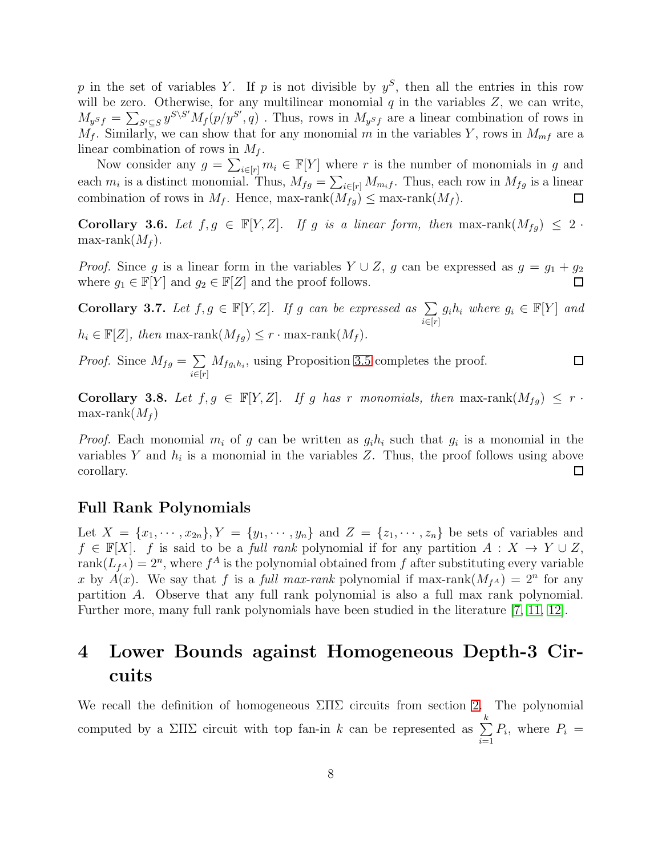p in the set of variables Y. If p is not divisible by  $y^S$ , then all the entries in this row will be zero. Otherwise, for any multilinear monomial  $q$  in the variables  $Z$ , we can write,  $M_{y^{S}f} = \sum_{S' \subseteq S} y^{S \setminus S'} M_f(p/y^{S'}, q)$ . Thus, rows in  $M_{y^{S}f}$  are a linear combination of rows in  $M_f$ . Similarly, we can show that for any monomial m in the variables Y, rows in  $M_{mf}$  are a linear combination of rows in  $M_f$ .

Now consider any  $g = \sum_{i \in [r]} m_i \in \mathbb{F}[Y]$  where r is the number of monomials in g and each  $m_i$  is a distinct monomial. Thus,  $M_{fg} = \sum_{i \in [r]} M_{m_i f}$ . Thus, each row in  $M_{fg}$  is a linear combination of rows in  $M_f$ . Hence, max-rank $(M_{fg}) \leq$  max-rank $(M_f)$ .

<span id="page-7-1"></span>Corollary 3.6. Let  $f, g \in \mathbb{F}[Y, Z]$ . If g is a linear form, then max-rank $(M_{fg}) \leq 2$ . max-rank $(M_f)$ .

*Proof.* Since g is a linear form in the variables  $Y \cup Z$ , g can be expressed as  $g = g_1 + g_2$ where  $g_1 \in \mathbb{F}[Y]$  and  $g_2 \in \mathbb{F}[Z]$  and the proof follows.

<span id="page-7-3"></span>Corollary 3.7. Let  $f, g \in \mathbb{F}[Y, Z]$ . If g can be expressed as  $\sum_{i=1}^{\infty}$  $i \in [r]$  $g_i h_i$  where  $g_i \in \mathbb{F}[Y]$  and  $h_i \in \mathbb{F}[Z]$ , then max-rank $(M_{fg}) \leq r \cdot \max\{-\text{rank}(M_f)\}.$ 

*Proof.* Since  $M_{fg} = \sum$  $M_{fg_ih_i}$ , using Proposition [3.5](#page-6-0) completes the proof.  $\Box$  $i \in [r]$ 

<span id="page-7-2"></span>Corollary 3.8. Let  $f, g \in \mathbb{F}[Y, Z]$ . If g has r monomials, then max-rank $(M_{fg}) \leq r$ . max-rank $(M_f)$ 

*Proof.* Each monomial  $m_i$  of g can be written as  $g_i h_i$  such that  $g_i$  is a monomial in the variables Y and  $h_i$  is a monomial in the variables Z. Thus, the proof follows using above corollary. □

#### Full Rank Polynomials

Let  $X = \{x_1, \dots, x_{2n}\}, Y = \{y_1, \dots, y_n\}$  and  $Z = \{z_1, \dots, z_n\}$  be sets of variables and  $f \in \mathbb{F}[X]$ . f is said to be a full rank polynomial if for any partition  $A: X \to Y \cup Z$ ,  $rank(L_{f^A}) = 2^n$ , where  $f^A$  is the polynomial obtained from  $f$  after substituting every variable x by  $A(x)$ . We say that f is a full max-rank polynomial if max-rank $(M_{fA}) = 2^n$  for any partition A. Observe that any full rank polynomial is also a full max rank polynomial. Further more, many full rank polynomials have been studied in the literature [\[7,](#page-16-2) [11,](#page-16-1) [12\]](#page-17-3).

## <span id="page-7-0"></span>4 Lower Bounds against Homogeneous Depth-3 Circuits

We recall the definition of homogeneous  $\Sigma\Pi\Sigma$  circuits from section [2.](#page-3-0) The polynomial computed by a  $\Sigma\Pi\Sigma$  circuit with top fan-in k can be represented as  $\Sigma$ k  $i=1$  $P_i$ , where  $P_i =$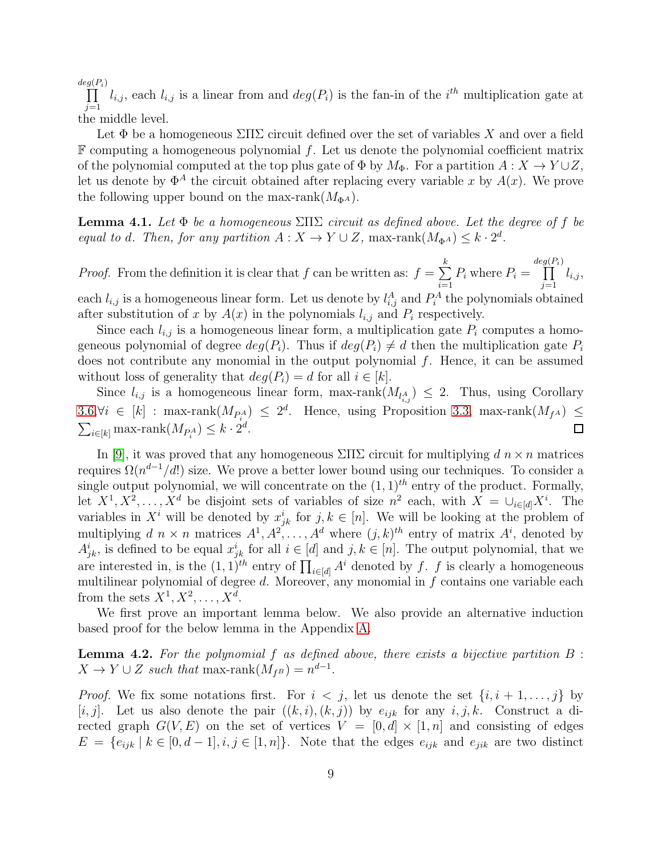$deg(P_i)$  $\prod l_{i,j}$ , each  $l_{i,j}$  is a linear from and  $deg(P_i)$  is the fan-in of the i<sup>th</sup> multiplication gate at  $j=1$ the middle level.

Let  $\Phi$  be a homogeneous  $\Sigma\Pi\Sigma$  circuit defined over the set of variables X and over a field  $\mathbb F$  computing a homogeneous polynomial f. Let us denote the polynomial coefficient matrix of the polynomial computed at the top plus gate of  $\Phi$  by  $M_{\Phi}$ . For a partition  $A: X \to Y \cup Z$ , let us denote by  $\Phi^A$  the circuit obtained after replacing every variable x by  $A(x)$ . We prove the following upper bound on the max-rank( $M_{\Phi^A}$ ).

<span id="page-8-0"></span>**Lemma 4.1.** Let  $\Phi$  be a homogeneous  $\Sigma\Pi\Sigma$  circuit as defined above. Let the degree of f be equal to d. Then, for any partition  $A: X \to Y \cup Z$ , max-rank $(M_{\Phi^A}) \leq k \cdot 2^d$ .

*Proof.* From the definition it is clear that f can be written as:  $f = \sum$ k  $i=1$  $P_i$  where  $P_i =$ deg  $\prod$  $(P_i)$  $j=1$  $l_{i,j},$ each  $l_{i,j}$  is a homogeneous linear form. Let us denote by  $l_{i,j}^A$  and  $P_i^A$  the polynomials obtained after substitution of x by  $A(x)$  in the polynomials  $l_{i,j}$  and  $P_i$  respectively.

Since each  $l_{i,j}$  is a homogeneous linear form, a multiplication gate  $P_i$  computes a homogeneous polynomial of degree  $deg(P_i)$ . Thus if  $deg(P_i) \neq d$  then the multiplication gate  $P_i$ does not contribute any monomial in the output polynomial f. Hence, it can be assumed without loss of generality that  $deg(P_i) = d$  for all  $i \in [k]$ .

Since  $l_{i,j}$  is a homogeneous linear form, max-rank $(M_{l_{i,j}^A}) \leq 2$ . Thus, using Corollary [3.6,](#page-7-1) $\forall i \in [k]$  : max-rank $(M_{P_i^A}) \leq 2^d$ . Hence, using Proposition [3.3,](#page-6-1) max-rank $(M_{f^A})$  ≤  $\sum_{i\in[k]} \text{max-rank}(M_{P_i^A}) \leq k \cdot 2^d.$ 

In [\[9\]](#page-16-0), it was proved that any homogeneous  $\Sigma\Pi\Sigma$  circuit for multiplying  $d\ n \times n$  matrices requires  $\Omega(n^{d-1}/d!)$  size. We prove a better lower bound using our techniques. To consider a single output polynomial, we will concentrate on the  $(1, 1)^{th}$  entry of the product. Formally, let  $X^1, X^2, \ldots, X^d$  be disjoint sets of variables of size  $n^2$  each, with  $X = \bigcup_{i \in [d]} X^i$ . The variables in  $X^i$  will be denoted by  $x_{jk}^i$  for  $j, k \in [n]$ . We will be looking at the problem of multiplying  $d \, n \times n$  matrices  $A^1, A^2, \ldots, A^d$  where  $(j, k)^{th}$  entry of matrix  $A^i$ , denoted by  $A^i_{jk}$ , is defined to be equal  $x^i_{jk}$  for all  $i \in [d]$  and  $j, k \in [n]$ . The output polynomial, that we are interested in, is the  $(1, 1)^{th}$  entry of  $\prod_{i \in [d]} A^i$  denoted by f. f is clearly a homogeneous multilinear polynomial of degree  $d$ . Moreover, any monomial in  $f$  contains one variable each from the sets  $X^1, X^2, \ldots, X^d$ .

We first prove an important lemma below. We also provide an alternative induction based proof for the below lemma in the Appendix [A.](#page-18-0)

<span id="page-8-1"></span>**Lemma 4.2.** For the polynomial  $f$  as defined above, there exists a bijective partition  $B$ :  $X \to Y \cup Z$  such that max-rank $(M_{f^B}) = n^{d-1}$ .

*Proof.* We fix some notations first. For  $i < j$ , let us denote the set  $\{i, i+1, \ldots, j\}$  by [i, j]. Let us also denote the pair  $((k, i), (k, j))$  by  $e_{ijk}$  for any  $i, j, k$ . Construct a directed graph  $G(V, E)$  on the set of vertices  $V = [0, d] \times [1, n]$  and consisting of edges  $E = \{e_{ijk} | k \in [0, d-1], i, j \in [1, n]\}.$  Note that the edges  $e_{ijk}$  and  $e_{jik}$  are two distinct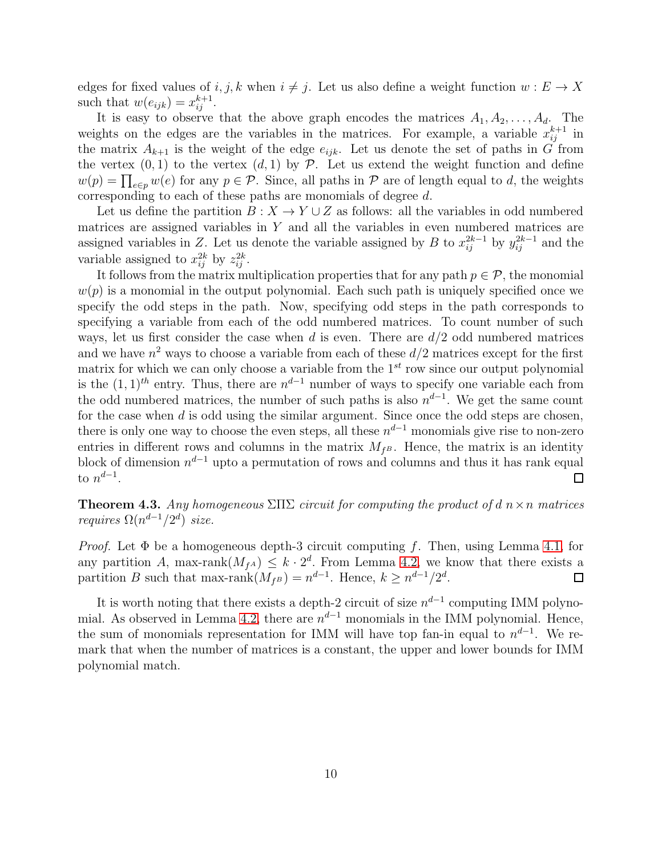edges for fixed values of  $i, j, k$  when  $i \neq j$ . Let us also define a weight function  $w : E \to X$ such that  $w(e_{ijk}) = x_{ij}^{k+1}$ .

It is easy to observe that the above graph encodes the matrices  $A_1, A_2, \ldots, A_d$ . The weights on the edges are the variables in the matrices. For example, a variable  $x_{ij}^{k+1}$  in the matrix  $A_{k+1}$  is the weight of the edge  $e_{ijk}$ . Let us denote the set of paths in G from the vertex  $(0, 1)$  to the vertex  $(d, 1)$  by P. Let us extend the weight function and define  $w(p) = \prod_{e \in p} w(e)$  for any  $p \in \mathcal{P}$ . Since, all paths in  $\mathcal{P}$  are of length equal to d, the weights corresponding to each of these paths are monomials of degree  $d$ .

Let us define the partition  $B: X \to Y \cup Z$  as follows: all the variables in odd numbered matrices are assigned variables in Y and all the variables in even numbered matrices are assigned variables in Z. Let us denote the variable assigned by B to  $x_{ij}^{2k-1}$  by  $y_{ij}^{2k-1}$  and the variable assigned to  $x_{ij}^{2k}$  by  $z_{ij}^{2k}$ .

It follows from the matrix multiplication properties that for any path  $p \in \mathcal{P}$ , the monomial  $w(p)$  is a monomial in the output polynomial. Each such path is uniquely specified once we specify the odd steps in the path. Now, specifying odd steps in the path corresponds to specifying a variable from each of the odd numbered matrices. To count number of such ways, let us first consider the case when d is even. There are  $d/2$  odd numbered matrices and we have  $n^2$  ways to choose a variable from each of these  $d/2$  matrices except for the first matrix for which we can only choose a variable from the  $1<sup>st</sup>$  row since our output polynomial is the  $(1, 1)$ <sup>th</sup> entry. Thus, there are  $n^{d-1}$  number of ways to specify one variable each from the odd numbered matrices, the number of such paths is also  $n^{d-1}$ . We get the same count for the case when d is odd using the similar argument. Since once the odd steps are chosen, there is only one way to choose the even steps, all these  $n^{d-1}$  monomials give rise to non-zero entries in different rows and columns in the matrix  $M_{f^B}$ . Hence, the matrix is an identity block of dimension  $n^{d-1}$  upto a permutation of rows and columns and thus it has rank equal to  $n^{d-1}$ .  $\Box$ 

**Theorem 4.3.** Any homogeneous  $\Sigma\Pi\Sigma$  circuit for computing the product of d  $n \times n$  matrices *requires*  $\Omega(n^{d-1}/2^d)$  *size.* 

*Proof.* Let  $\Phi$  be a homogeneous depth-3 circuit computing f. Then, using Lemma [4.1,](#page-8-0) for any partition A, max-rank $(M_{fA}) \leq k \cdot 2^d$ . From Lemma [4.2,](#page-8-1) we know that there exists a partition B such that max-rank $(M_{f^B}) = n^{d-1}$ . Hence,  $k \geq n^{d-1}/2^d$ .  $\Box$ 

It is worth noting that there exists a depth-2 circuit of size  $n^{d-1}$  computing IMM polyno-mial. As observed in Lemma [4.2,](#page-8-1) there are  $n^{d-1}$  monomials in the IMM polynomial. Hence, the sum of monomials representation for IMM will have top fan-in equal to  $n^{d-1}$ . We remark that when the number of matrices is a constant, the upper and lower bounds for IMM polynomial match.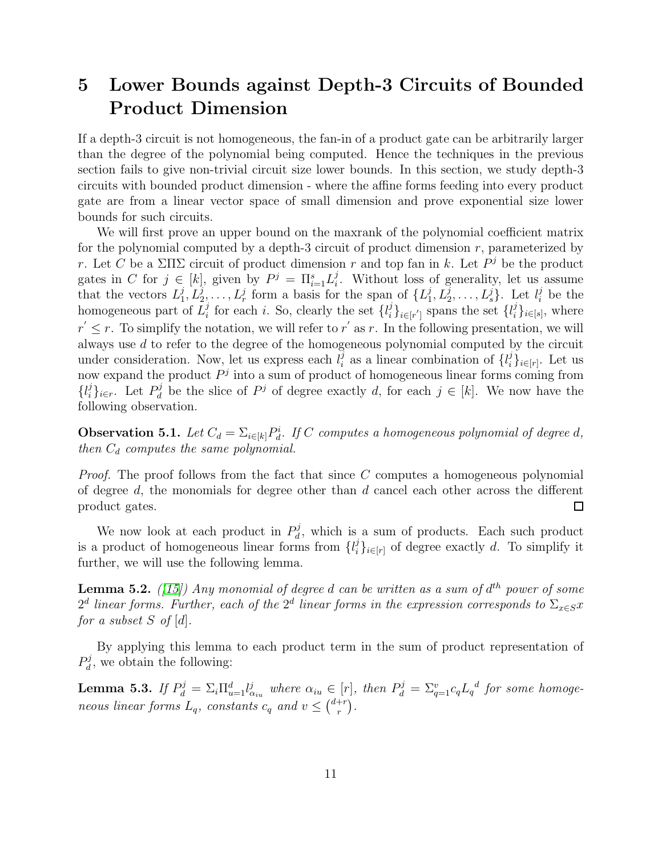## <span id="page-10-0"></span>5 Lower Bounds against Depth-3 Circuits of Bounded Product Dimension

If a depth-3 circuit is not homogeneous, the fan-in of a product gate can be arbitrarily larger than the degree of the polynomial being computed. Hence the techniques in the previous section fails to give non-trivial circuit size lower bounds. In this section, we study depth-3 circuits with bounded product dimension - where the affine forms feeding into every product gate are from a linear vector space of small dimension and prove exponential size lower bounds for such circuits.

We will first prove an upper bound on the maxrank of the polynomial coefficient matrix for the polynomial computed by a depth-3 circuit of product dimension  $r$ , parameterized by r. Let C be a  $\Sigma\Pi\Sigma$  circuit of product dimension r and top fan in k. Let  $P<sup>j</sup>$  be the product gates in C for  $j \in [k]$ , given by  $P^j = \prod_{i=1}^s L_i^j$  $i$ . Without loss of generality, let us assume that the vectors  $L_1^j$  $L_1^j, L_2^j, \ldots, L_r^j$  form a basis for the span of  $\{L_1^j\}$  $\{j_1, L_2^j, \ldots, L_s^j\}$ . Let  $l_i^j$  be the homogeneous part of  $\overline{L}_i^j$  $i_i$  for each *i*. So, clearly the set  $\{l_i^j\}$  $\{i\}_{i\in[r']}$  spans the set  $\{l_i^j\}$  $_{i}^{j}\}_{i\in[s]},$  where  $r' \leq r$ . To simplify the notation, we will refer to r' as r. In the following presentation, we will always use d to refer to the degree of the homogeneous polynomial computed by the circuit under consideration. Now, let us express each  $l_i^j$  $i$  as a linear combination of  $\{l_i^j\}$  $_{i}^{j}\}_{i\in[r]}$ . Let us now expand the product  $P<sup>j</sup>$  into a sum of product of homogeneous linear forms coming from  $\{l_i^j\}$  $\{e_i\}_{i \in r}$ . Let  $P_d^j$  $d_d$  be the slice of  $P^j$  of degree exactly d, for each  $j \in [k]$ . We now have the following observation.

**Observation 5.1.** Let  $C_d = \sum_{i \in [k]} P_d^i$ . If C computes a homogeneous polynomial of degree d, then  $C_d$  computes the same polynomial.

*Proof.* The proof follows from the fact that since  $C$  computes a homogeneous polynomial of degree  $d$ , the monomials for degree other than  $d$  cancel each other across the different product gates.  $\Box$ 

We now look at each product in  $P_d^j$  $d_d$ , which is a sum of products. Each such product is a product of homogeneous linear forms from  $\{l_i^j\}$  $i<sub>i</sub>$ <sub>i</sub> $\in$ <sub>[r]</sub> of degree exactly d. To simplify it further, we will use the following lemma.

<span id="page-10-1"></span>**Lemma 5.2.** ([\[15\]](#page-17-5)) Any monomial of degree  $d$  can be written as a sum of  $d^{th}$  power of some  $2<sup>d</sup>$  linear forms. Further, each of the  $2<sup>d</sup>$  linear forms in the expression corresponds to  $\Sigma_{x \in S} x$ for a subset S of  $[d]$ .

By applying this lemma to each product term in the sum of product representation of  $P_d^j$  $d_d$ , we obtain the following:

<span id="page-10-2"></span>**Lemma 5.3.** If  $P_d^j = \sum_i \prod_{u=1}^d l_{\alpha_{iu}}^j$  where  $\alpha_{iu} \in [r]$ , then  $P_d^j = \sum_{q=1}^v c_q L_q^d$  for some homogeneous linear forms  $L_q$ , constants  $c_q$  and  $v \leq {d+r \choose r}$  $\binom{+r}{r}$ .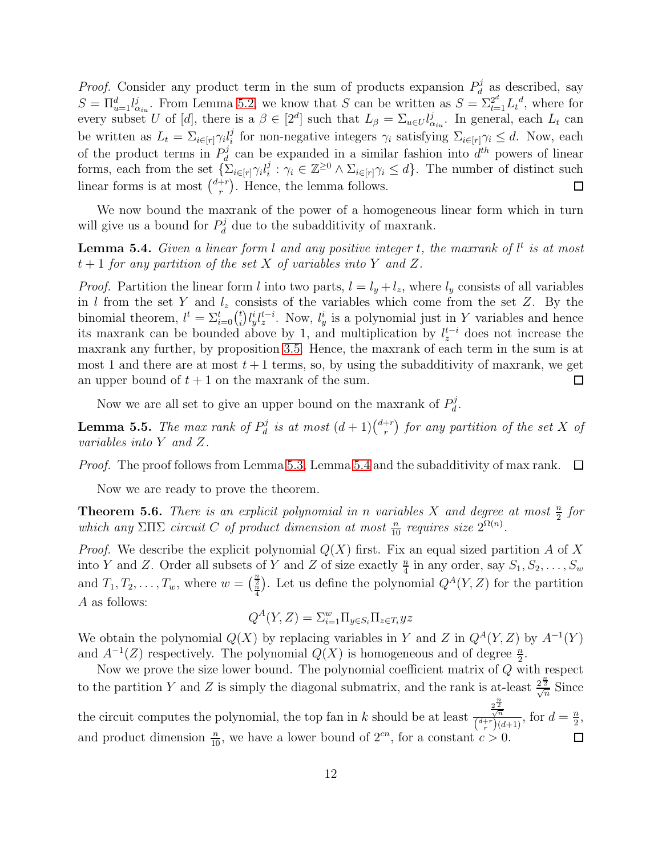*Proof.* Consider any product term in the sum of products expansion  $P_d^j$  $d_d$  as described, say  $S = \prod_{u=1}^d l_{\alpha_{iu}}^j$ . From Lemma [5.2,](#page-10-1) we know that S can be written as  $S = \sum_{t=1}^{2^d} L_t^d$ , where for every subset U of [d], there is a  $\beta \in [2^d]$  such that  $L_\beta = \sum_{u \in U} l_{\alpha_{iu}}^j$ . In general, each  $L_t$  can be written as  $L_t = \sum_{i \in [r]} \gamma_i l_i^j$ <sup>*i*</sup> for non-negative integers  $\gamma_i$  satisfying  $\Sigma_{i \in [r]} \gamma_i \leq d$ . Now, each of the product terms in  $P_d^j$  $d_d$  can be expanded in a similar fashion into  $d^{th}$  powers of linear forms, each from the set  $\{\sum_{i\in[r]}\gamma_i l_i^j\}$  $i : \gamma_i \in \mathbb{Z}^{\geq 0} \wedge \Sigma_{i \in [r]} \gamma_i \leq d$ . The number of distinct such linear forms is at most  $\binom{d+r}{r}$  $r^{+r}$ ). Hence, the lemma follows.  $\Box$ 

We now bound the maxrank of the power of a homogeneous linear form which in turn will give us a bound for  $P_d^j$  $d_d^j$  due to the subadditivity of maxrank.

<span id="page-11-0"></span>**Lemma 5.4.** Given a linear form l and any positive integer t, the maxrank of  $l^t$  is at most  $t+1$  for any partition of the set X of variables into Y and Z.

*Proof.* Partition the linear form l into two parts,  $l = l_y + l_z$ , where  $l_y$  consists of all variables in l from the set Y and  $l_z$  consists of the variables which come from the set Z. By the binomial theorem,  $l^t = \sum_{i=0}^t {t \choose i}$  $\int_i^t l_y^i l_z^{t-i}$ . Now,  $l_y^i$  is a polynomial just in Y variables and hence its maxrank can be bounded above by 1, and multiplication by  $l_z^{t-i}$  does not increase the maxrank any further, by proposition [3.5.](#page-6-0) Hence, the maxrank of each term in the sum is at most 1 and there are at most  $t + 1$  terms, so, by using the subadditivity of maxrank, we get an upper bound of  $t + 1$  on the maxrank of the sum.  $\Box$ 

Now we are all set to give an upper bound on the maxrank of  $P_d^j$  $_d^j$  .

**Lemma 5.5.** The max rank of  $P_d^j$  $\frac{d}{dt}$  is at most  $(d+1)\binom{d+r}{r}$  $\left( \begin{smallmatrix} +r\ r \end{smallmatrix} \right)$  for any partition of the set X of variables into Y and Z.

Proof. The proof follows from Lemma [5.3,](#page-10-2) Lemma [5.4](#page-11-0) and the subadditivity of max rank.  $\Box$ 

Now we are ready to prove the theorem.

<span id="page-11-1"></span>**Theorem 5.6.** There is an explicit polynomial in n variables X and degree at most  $\frac{n}{2}$  for which any  $\Sigma\Pi\Sigma$  circuit C of product dimension at most  $\frac{n}{10}$  requires size  $2^{\Omega(n)}$ .

*Proof.* We describe the explicit polynomial  $Q(X)$  first. Fix an equal sized partition A of X into Y and Z. Order all subsets of Y and Z of size exactly  $\frac{n}{4}$  in any order, say  $S_1, S_2, \ldots, S_w$ and  $T_1, T_2, \ldots, T_w$ , where  $w = \left(\frac{n}{2}\right)$ . Let us define the polynomial  $Q^A(Y, Z)$  for the partition A as follows:

$$
Q^{A}(Y,Z) = \sum_{i=1}^{w} \prod_{y \in S_i} \prod_{z \in T_i} yz
$$

We obtain the polynomial  $Q(X)$  by replacing variables in Y and Z in  $Q^A(Y, Z)$  by  $A^{-1}(Y)$ and  $A^{-1}(Z)$  respectively. The polynomial  $Q(X)$  is homogeneous and of degree  $\frac{n}{2}$ .

Now we prove the size lower bound. The polynomial coefficient matrix of Q with respect to the partition Y and Z is simply the diagonal submatrix, and the rank is at-least  $\frac{2^{\frac{n}{2}}}{\sqrt{n}}$  Since the circuit computes the polynomial, the top fan in k should be at least  $\frac{2^{\frac{n}{2}}}{\sqrt{n}}$  $\frac{\sqrt{n}}{\binom{d+r}{r}(d+1)}$ , for  $d=\frac{n}{2}$  $\frac{n}{2}$ and product dimension  $\frac{n}{10}$ , we have a lower bound of  $2^{cn}$ , for a constant  $c > 0$ .  $\Box$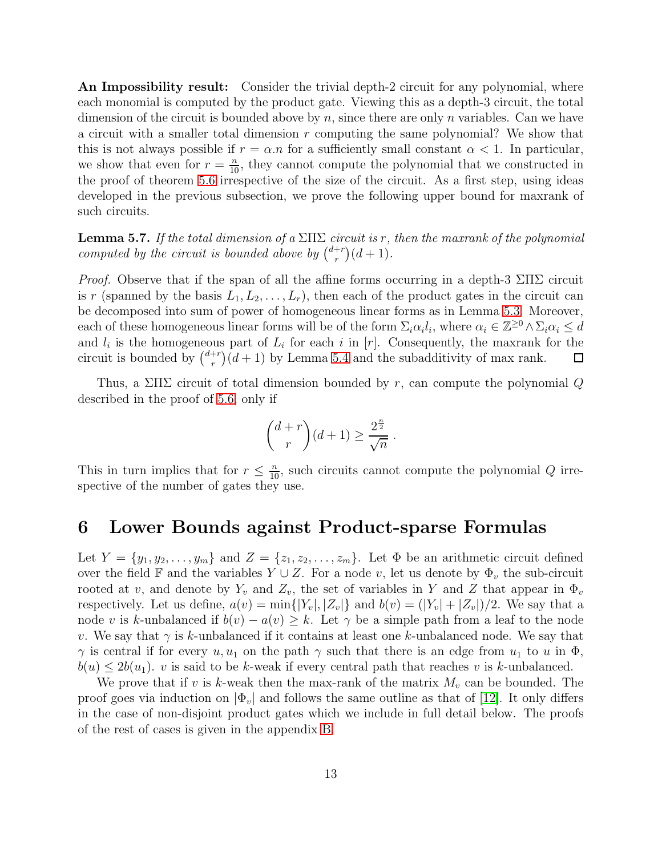An Impossibility result: Consider the trivial depth-2 circuit for any polynomial, where each monomial is computed by the product gate. Viewing this as a depth-3 circuit, the total dimension of the circuit is bounded above by n, since there are only n variables. Can we have a circuit with a smaller total dimension  $r$  computing the same polynomial? We show that this is not always possible if  $r = \alpha.n$  for a sufficiently small constant  $\alpha < 1$ . In particular, we show that even for  $r = \frac{n}{10}$ , they cannot compute the polynomial that we constructed in the proof of theorem [5.6](#page-11-1) irrespective of the size of the circuit. As a first step, using ideas developed in the previous subsection, we prove the following upper bound for maxrank of such circuits.

**Lemma 5.7.** If the total dimension of a  $\Sigma\Pi\Sigma$  circuit is r, then the maxrank of the polynomial computed by the circuit is bounded above by  $\binom{d+r}{r}$  $r^{+r}$  $\big) (d+1).$ 

*Proof.* Observe that if the span of all the affine forms occurring in a depth-3  $\Sigma\Pi\Sigma$  circuit is r (spanned by the basis  $L_1, L_2, \ldots, L_r$ ), then each of the product gates in the circuit can be decomposed into sum of power of homogeneous linear forms as in Lemma [5.3.](#page-10-2) Moreover, each of these homogeneous linear forms will be of the form  $\Sigma_i \alpha_i l_i$ , where  $\alpha_i \in \mathbb{Z}^{\geq 0} \wedge \Sigma_i \alpha_i \leq d$ and  $l_i$  is the homogeneous part of  $L_i$  for each i in [r]. Consequently, the maxrank for the circuit is bounded by  $\binom{d+r}{r}$  $\binom{+r}{r}(d+1)$  by Lemma [5.4](#page-11-0) and the subadditivity of max rank.  $\Box$ 

Thus, a  $\Sigma\Pi\Sigma$  circuit of total dimension bounded by r, can compute the polynomial Q described in the proof of [5.6,](#page-11-1) only if

$$
\binom{d+r}{r}(d+1) \ge \frac{2^{\frac{n}{2}}}{\sqrt{n}}.
$$

This in turn implies that for  $r \leq \frac{n}{10}$ , such circuits cannot compute the polynomial Q irrespective of the number of gates they use.

#### <span id="page-12-0"></span>6 Lower Bounds against Product-sparse Formulas

Let  $Y = \{y_1, y_2, \ldots, y_m\}$  and  $Z = \{z_1, z_2, \ldots, z_m\}$ . Let  $\Phi$  be an arithmetic circuit defined over the field F and the variables  $Y \cup Z$ . For a node v, let us denote by  $\Phi_v$  the sub-circuit rooted at v, and denote by  $Y_v$  and  $Z_v$ , the set of variables in Y and Z that appear in  $\Phi_v$ respectively. Let us define,  $a(v) = \min\{|Y_v|, |Z_v|\}$  and  $b(v) = (|Y_v| + |Z_v|)/2$ . We say that a node v is k-unbalanced if  $b(v) - a(v) \geq k$ . Let  $\gamma$  be a simple path from a leaf to the node v. We say that  $\gamma$  is k-unbalanced if it contains at least one k-unbalanced node. We say that  $\gamma$  is central if for every  $u, u_1$  on the path  $\gamma$  such that there is an edge from  $u_1$  to u in  $\Phi$ ,  $b(u) \leq 2b(u_1)$ . v is said to be k-weak if every central path that reaches v is k-unbalanced.

We prove that if v is k-weak then the max-rank of the matrix  $M_v$  can be bounded. The proof goes via induction on  $|\Phi_v|$  and follows the same outline as that of [\[12\]](#page-17-3). It only differs in the case of non-disjoint product gates which we include in full detail below. The proofs of the rest of cases is given in the appendix [B.](#page-19-0)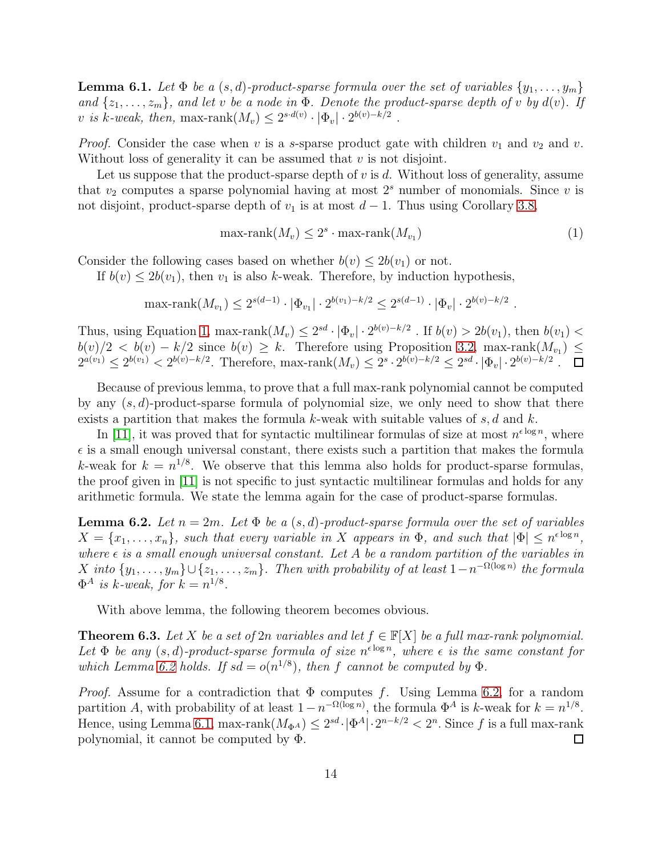<span id="page-13-2"></span>**Lemma 6.1.** Let  $\Phi$  be a  $(s, d)$ -product-sparse formula over the set of variables  $\{y_1, \ldots, y_m\}$ and  $\{z_1, \ldots, z_m\}$ , and let v be a node in  $\Phi$ . Denote the product-sparse depth of v by  $d(v)$ . If v is k-weak, then, max-rank $(M_v) \leq 2^{s \cdot d(v)} \cdot |\Phi_v| \cdot 2^{b(v)-k/2}$ .

*Proof.* Consider the case when v is a s-sparse product gate with children  $v_1$  and  $v_2$  and v. Without loss of generality it can be assumed that  $v$  is not disjoint.

Let us suppose that the product-sparse depth of  $v$  is  $d$ . Without loss of generality, assume that  $v_2$  computes a sparse polynomial having at most  $2<sup>s</sup>$  number of monomials. Since v is not disjoint, product-sparse depth of  $v_1$  is at most  $d-1$ . Thus using Corollary [3.8,](#page-7-2)

<span id="page-13-0"></span>
$$
\max\text{-rank}(M_v) \le 2^s \cdot \max\text{-rank}(M_{v_1}) \tag{1}
$$

.

Consider the following cases based on whether  $b(v) \leq 2b(v_1)$  or not.

If  $b(v) \leq 2b(v_1)$ , then  $v_1$  is also k-weak. Therefore, by induction hypothesis,

$$
\max\text{-rank}(M_{v_1}) \le 2^{s(d-1)} \cdot |\Phi_{v_1}| \cdot 2^{b(v_1) - k/2} \le 2^{s(d-1)} \cdot |\Phi_v| \cdot 2^{b(v) - k/2}
$$

Thus, using Equation [1,](#page-13-0) max-rank $(M_v) \leq 2^{sd} \cdot |\Phi_v| \cdot 2^{b(v)-k/2}$ . If  $b(v) > 2b(v_1)$ , then  $b(v_1) <$  $b(v)/2 < b(v) - k/2$  since  $b(v) \geq k$ . Therefore using Proposition [3.2,](#page-6-2) max-rank $(M_{v_1}) \leq$  $2^{a(v_1)} \leq 2^{b(v_1)} < 2^{b(v)-k/2}$ . Therefore, max-rank $(M_v) \leq 2^s \cdot 2^{b(v)-k/2} \leq 2^{sd} \cdot |\Phi_v| \cdot 2^{b(v)-k/2}$ .

Because of previous lemma, to prove that a full max-rank polynomial cannot be computed by any  $(s, d)$ -product-sparse formula of polynomial size, we only need to show that there exists a partition that makes the formula k-weak with suitable values of s, d and k.

In [\[11\]](#page-16-1), it was proved that for syntactic multilinear formulas of size at most  $n^{\epsilon \log n}$ , where  $\epsilon$  is a small enough universal constant, there exists such a partition that makes the formula k-weak for  $k = n^{1/8}$ . We observe that this lemma also holds for product-sparse formulas, the proof given in [\[11\]](#page-16-1) is not specific to just syntactic multilinear formulas and holds for any arithmetic formula. We state the lemma again for the case of product-sparse formulas.

<span id="page-13-1"></span>**Lemma 6.2.** Let  $n = 2m$ . Let  $\Phi$  be a  $(s, d)$ -product-sparse formula over the set of variables  $X = \{x_1, \ldots, x_n\}$ , such that every variable in X appears in  $\Phi$ , and such that  $|\Phi| \leq n^{\epsilon \log n}$ , where  $\epsilon$  is a small enough universal constant. Let A be a random partition of the variables in  $X$  into  $\{y_1, \ldots, y_m\} \cup \{z_1, \ldots, z_m\}$ . Then with probability of at least  $1 - n^{-\Omega(\log n)}$  the formula  $\Phi^A$  is k-weak, for  $k = n^{1/8}$ .

With above lemma, the following theorem becomes obvious.

<span id="page-13-3"></span>**Theorem 6.3.** Let X be a set of 2n variables and let  $f \in \mathbb{F}[X]$  be a full max-rank polynomial. Let  $\Phi$  be any  $(s, d)$ -product-sparse formula of size  $n^{\epsilon \log n}$ , where  $\epsilon$  is the same constant for which Lemma [6.2](#page-13-1) holds. If  $sd = o(n^{1/8})$ , then f cannot be computed by  $\Phi$ .

*Proof.* Assume for a contradiction that  $\Phi$  computes f. Using Lemma [6.2,](#page-13-1) for a random partition A, with probability of at least  $1-n^{-\Omega(\log n)}$ , the formula  $\Phi^A$  is k-weak for  $k = n^{1/8}$ . Hence, using Lemma [6.1,](#page-13-2) max-rank $(M_{\Phi^A}) \leq 2^{sd} \cdot |\Phi^A| \cdot 2^{n-k/2} < 2^n$ . Since f is a full max-rank polynomial, it cannot be computed by Φ.  $\Box$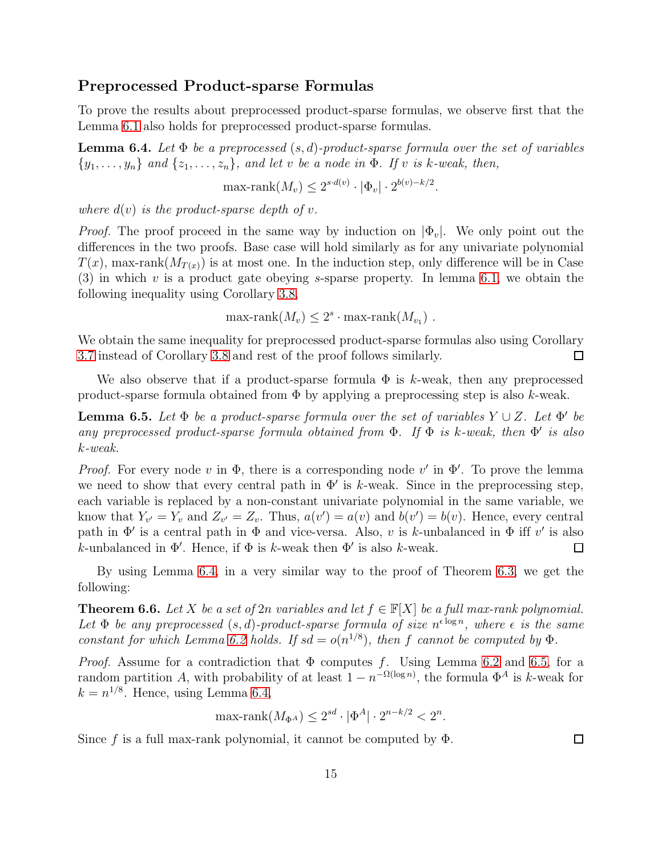#### Preprocessed Product-sparse Formulas

To prove the results about preprocessed product-sparse formulas, we observe first that the Lemma [6.1](#page-13-2) also holds for preprocessed product-sparse formulas.

<span id="page-14-0"></span>**Lemma 6.4.** Let  $\Phi$  be a preprocessed  $(s, d)$ -product-sparse formula over the set of variables  $\{y_1, \ldots, y_n\}$  and  $\{z_1, \ldots, z_n\}$ , and let v be a node in  $\Phi$ . If v is k-weak, then,

$$
\max\text{-rank}(M_v) \le 2^{s \cdot d(v)} \cdot |\Phi_v| \cdot 2^{b(v) - k/2}.
$$

where  $d(v)$  is the product-sparse depth of v.

*Proof.* The proof proceed in the same way by induction on  $|\Phi_v|$ . We only point out the differences in the two proofs. Base case will hold similarly as for any univariate polynomial  $T(x)$ , max-rank $(M_{T(x)})$  is at most one. In the induction step, only difference will be in Case  $(3)$  in which v is a product gate obeying s-sparse property. In lemma [6.1,](#page-13-2) we obtain the following inequality using Corollary [3.8,](#page-7-2)

 $\max\text{-rank}(M_v) \leq 2^s \cdot \max\text{-rank}(M_{v_1})$ .

We obtain the same inequality for preprocessed product-sparse formulas also using Corollary [3.7](#page-7-3) instead of Corollary [3.8](#page-7-2) and rest of the proof follows similarly.  $\Box$ 

We also observe that if a product-sparse formula  $\Phi$  is k-weak, then any preprocessed product-sparse formula obtained from  $\Phi$  by applying a preprocessing step is also k-weak.

<span id="page-14-1"></span>**Lemma 6.5.** Let  $\Phi$  be a product-sparse formula over the set of variables  $Y \cup Z$ . Let  $\Phi'$  be any preprocessed product-sparse formula obtained from  $\Phi$ . If  $\Phi$  is k-weak, then  $\Phi'$  is also k-weak.

*Proof.* For every node v in  $\Phi$ , there is a corresponding node v' in  $\Phi'$ . To prove the lemma we need to show that every central path in  $\Phi'$  is k-weak. Since in the preprocessing step, each variable is replaced by a non-constant univariate polynomial in the same variable, we know that  $Y_{v'} = Y_v$  and  $Z_{v'} = Z_v$ . Thus,  $a(v') = a(v)$  and  $b(v') = b(v)$ . Hence, every central path in  $\Phi'$  is a central path in  $\Phi$  and vice-versa. Also, v is k-unbalanced in  $\Phi$  iff v' is also k-unbalanced in  $\Phi'$ . Hence, if  $\Phi$  is k-weak then  $\Phi'$  is also k-weak.  $\Box$ 

By using Lemma [6.4,](#page-14-0) in a very similar way to the proof of Theorem [6.3,](#page-13-3) we get the following:

**Theorem 6.6.** Let X be a set of 2n variables and let  $f \in \mathbb{F}[X]$  be a full max-rank polynomial. Let  $\Phi$  be any preprocessed  $(s, d)$ -product-sparse formula of size  $n^{\epsilon \log n}$ , where  $\epsilon$  is the same constant for which Lemma [6.2](#page-13-1) holds. If  $sd = o(n^{1/8})$ , then f cannot be computed by  $\Phi$ .

*Proof.* Assume for a contradiction that  $\Phi$  computes f. Using Lemma [6.2](#page-13-1) and [6.5,](#page-14-1) for a random partition A, with probability of at least  $1 - n^{-\Omega(\log n)}$ , the formula  $\Phi^A$  is k-weak for  $k = n^{1/8}$ . Hence, using Lemma [6.4,](#page-14-0)

$$
\max\text{-rank}(M_{\Phi^A}) \le 2^{sd} \cdot |\Phi^A| \cdot 2^{n-k/2} < 2^n.
$$

Since f is a full max-rank polynomial, it cannot be computed by  $\Phi$ .

 $\Box$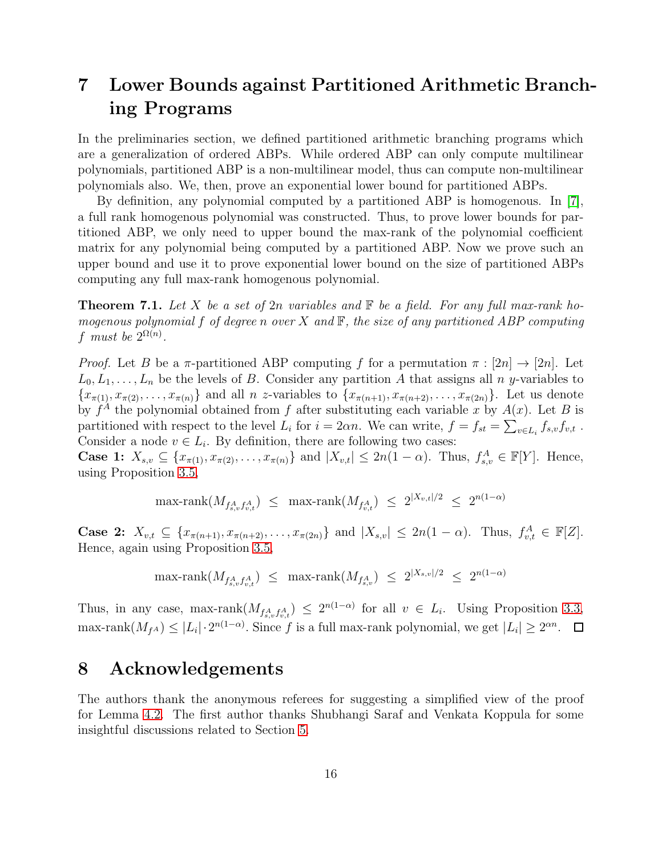## <span id="page-15-0"></span>7 Lower Bounds against Partitioned Arithmetic Branching Programs

In the preliminaries section, we defined partitioned arithmetic branching programs which are a generalization of ordered ABPs. While ordered ABP can only compute multilinear polynomials, partitioned ABP is a non-multilinear model, thus can compute non-multilinear polynomials also. We, then, prove an exponential lower bound for partitioned ABPs.

By definition, any polynomial computed by a partitioned ABP is homogenous. In [\[7\]](#page-16-2), a full rank homogenous polynomial was constructed. Thus, to prove lower bounds for partitioned ABP, we only need to upper bound the max-rank of the polynomial coefficient matrix for any polynomial being computed by a partitioned ABP. Now we prove such an upper bound and use it to prove exponential lower bound on the size of partitioned ABPs computing any full max-rank homogenous polynomial.

**Theorem 7.1.** Let X be a set of 2n variables and  $\mathbb F$  be a field. For any full max-rank homogenous polynomial f of degree n over X and  $\mathbb{F}$ , the size of any partitioned ABP computing f must be  $2^{\Omega(n)}$ .

*Proof.* Let B be a  $\pi$ -partitioned ABP computing f for a permutation  $\pi : [2n] \rightarrow [2n]$ . Let  $L_0, L_1, \ldots, L_n$  be the levels of B. Consider any partition A that assigns all n y-variables to  ${x_{\pi(1)}, x_{\pi(2)}, \ldots, x_{\pi(n)}}$  and all n z-variables to  ${x_{\pi(n+1)}, x_{\pi(n+2)}, \ldots, x_{\pi(2n)}}$ . Let us denote by  $f^A$  the polynomial obtained from f after substituting each variable x by  $A(x)$ . Let B is partitioned with respect to the level  $L_i$  for  $i = 2\alpha n$ . We can write,  $f = f_{st} = \sum_{v \in L_i} f_{s,v} f_{v,t}$ . Consider a node  $v \in L_i$ . By definition, there are following two cases:

**Case 1:**  $X_{s,v} \subseteq \{x_{\pi(1)}, x_{\pi(2)}, \ldots, x_{\pi(n)}\}$  and  $|X_{v,t}| \leq 2n(1-\alpha)$ . Thus,  $f_{s,v}^A \in \mathbb{F}[Y]$ . Hence, using Proposition [3.5,](#page-6-0)

$$
\max\text{-rank}(M_{f_{s,v}^A f_{v,t}^A}) \le \max\text{-rank}(M_{f_{v,t}^A}) \le 2^{|X_{v,t}|/2} \le 2^{n(1-\alpha)}
$$

Case 2:  $X_{v,t} \subseteq \{x_{\pi(n+1)}, x_{\pi(n+2)}, \ldots, x_{\pi(2n)}\}$  and  $|X_{s,v}| \leq 2n(1-\alpha)$ . Thus,  $f_{v,t}^A \in \mathbb{F}[Z]$ . Hence, again using Proposition [3.5,](#page-6-0)

$$
\max\text{-rank}(M_{f_{s,v}^A f_{v,t}^A}) \le \max\text{-rank}(M_{f_{s,v}^A}) \le 2^{|X_{s,v}|/2} \le 2^{n(1-\alpha)}
$$

Thus, in any case, max-rank $(M_{f_{s,v}^A f_{v,t}^A}) \leq 2^{n(1-\alpha)}$  for all  $v \in L_i$ . Using Proposition [3.3,](#page-6-1) max-rank $(M_{fA}) \leq |L_i| \cdot 2^{n(1-\alpha)}$ . Since f is a full max-rank polynomial, we get  $|L_i| \geq 2^{\alpha n}$ .

### 8 Acknowledgements

The authors thank the anonymous referees for suggesting a simplified view of the proof for Lemma [4.2.](#page-8-1) The first author thanks Shubhangi Saraf and Venkata Koppula for some insightful discussions related to Section [5.](#page-10-0)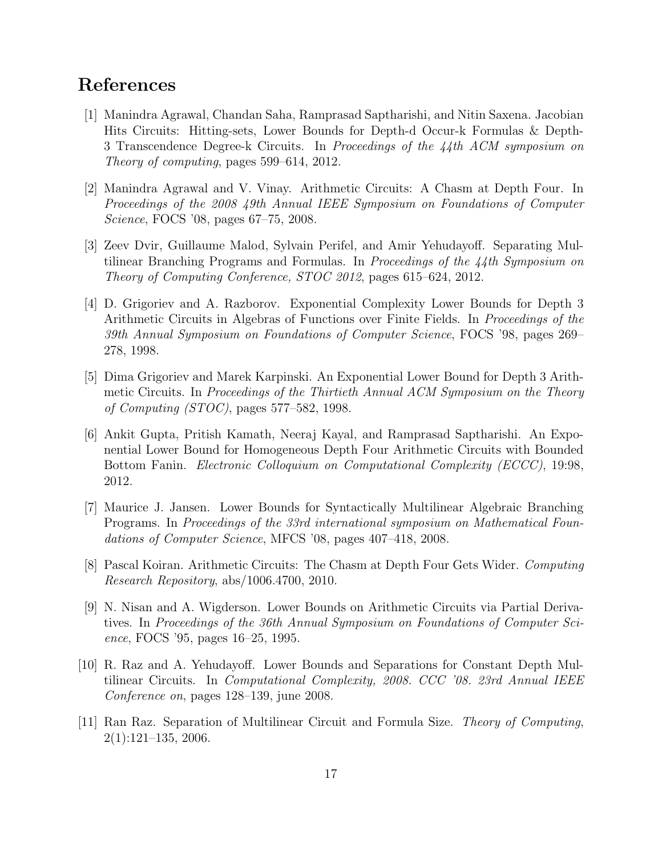### <span id="page-16-7"></span>References

- [1] Manindra Agrawal, Chandan Saha, Ramprasad Saptharishi, and Nitin Saxena. Jacobian Hits Circuits: Hitting-sets, Lower Bounds for Depth-d Occur-k Formulas & Depth-3 Transcendence Degree-k Circuits. In Proceedings of the 44th ACM symposium on Theory of computing, pages 599–614, 2012.
- <span id="page-16-3"></span>[2] Manindra Agrawal and V. Vinay. Arithmetic Circuits: A Chasm at Depth Four. In Proceedings of the 2008 49th Annual IEEE Symposium on Foundations of Computer Science, FOCS '08, pages 67–75, 2008.
- <span id="page-16-8"></span>[3] Zeev Dvir, Guillaume Malod, Sylvain Perifel, and Amir Yehudayoff. Separating Multilinear Branching Programs and Formulas. In Proceedings of the  $44$ th Symposium on Theory of Computing Conference, STOC 2012, pages 615–624, 2012.
- <span id="page-16-6"></span>[4] D. Grigoriev and A. Razborov. Exponential Complexity Lower Bounds for Depth 3 Arithmetic Circuits in Algebras of Functions over Finite Fields. In *Proceedings of the* 39th Annual Symposium on Foundations of Computer Science, FOCS '98, pages 269– 278, 1998.
- <span id="page-16-5"></span>[5] Dima Grigoriev and Marek Karpinski. An Exponential Lower Bound for Depth 3 Arithmetic Circuits. In Proceedings of the Thirtieth Annual ACM Symposium on the Theory of Computing (STOC), pages 577–582, 1998.
- <span id="page-16-10"></span>[6] Ankit Gupta, Pritish Kamath, Neeraj Kayal, and Ramprasad Saptharishi. An Exponential Lower Bound for Homogeneous Depth Four Arithmetic Circuits with Bounded Bottom Fanin. Electronic Colloquium on Computational Complexity (ECCC), 19:98, 2012.
- <span id="page-16-2"></span>[7] Maurice J. Jansen. Lower Bounds for Syntactically Multilinear Algebraic Branching Programs. In Proceedings of the 33rd international symposium on Mathematical Foundations of Computer Science, MFCS '08, pages 407–418, 2008.
- <span id="page-16-4"></span>[8] Pascal Koiran. Arithmetic Circuits: The Chasm at Depth Four Gets Wider. Computing Research Repository, abs/1006.4700, 2010.
- <span id="page-16-0"></span>[9] N. Nisan and A. Wigderson. Lower Bounds on Arithmetic Circuits via Partial Derivatives. In Proceedings of the 36th Annual Symposium on Foundations of Computer Science, FOCS '95, pages 16–25, 1995.
- <span id="page-16-9"></span>[10] R. Raz and A. Yehudayoff. Lower Bounds and Separations for Constant Depth Multilinear Circuits. In Computational Complexity, 2008. CCC '08. 23rd Annual IEEE Conference on, pages 128–139, june 2008.
- <span id="page-16-1"></span>[11] Ran Raz. Separation of Multilinear Circuit and Formula Size. Theory of Computing, 2(1):121–135, 2006.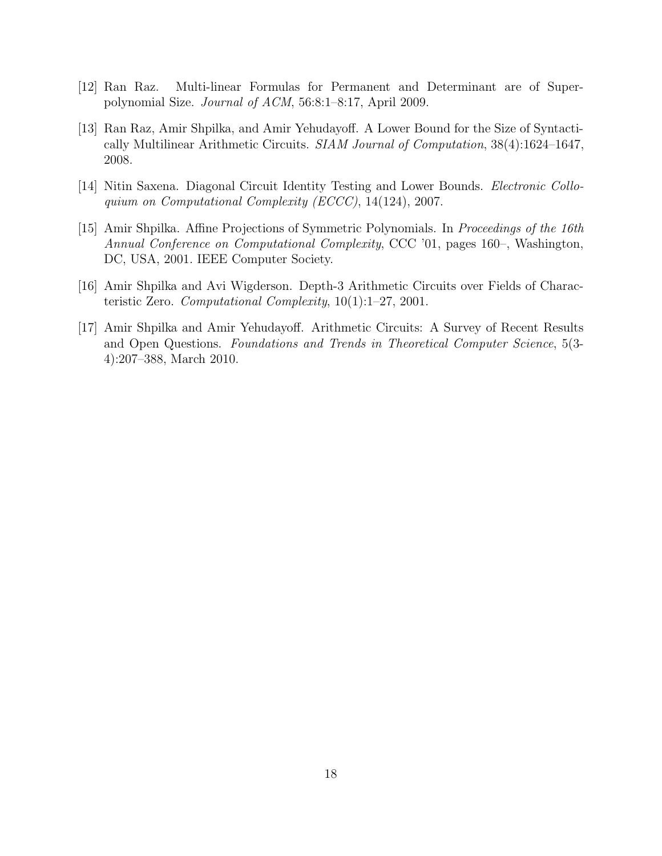- <span id="page-17-4"></span><span id="page-17-3"></span>[12] Ran Raz. Multi-linear Formulas for Permanent and Determinant are of Superpolynomial Size. Journal of ACM, 56:8:1–8:17, April 2009.
- [13] Ran Raz, Amir Shpilka, and Amir Yehudayoff. A Lower Bound for the Size of Syntactically Multilinear Arithmetic Circuits. SIAM Journal of Computation, 38(4):1624–1647, 2008.
- <span id="page-17-5"></span><span id="page-17-0"></span>[14] Nitin Saxena. Diagonal Circuit Identity Testing and Lower Bounds. Electronic Colloquium on Computational Complexity (ECCC), 14(124), 2007.
- [15] Amir Shpilka. Affine Projections of Symmetric Polynomials. In Proceedings of the 16th Annual Conference on Computational Complexity, CCC '01, pages 160–, Washington, DC, USA, 2001. IEEE Computer Society.
- <span id="page-17-2"></span><span id="page-17-1"></span>[16] Amir Shpilka and Avi Wigderson. Depth-3 Arithmetic Circuits over Fields of Characteristic Zero. Computational Complexity,  $10(1):1-27$ , 2001.
- [17] Amir Shpilka and Amir Yehudayoff. Arithmetic Circuits: A Survey of Recent Results and Open Questions. Foundations and Trends in Theoretical Computer Science, 5(3- 4):207–388, March 2010.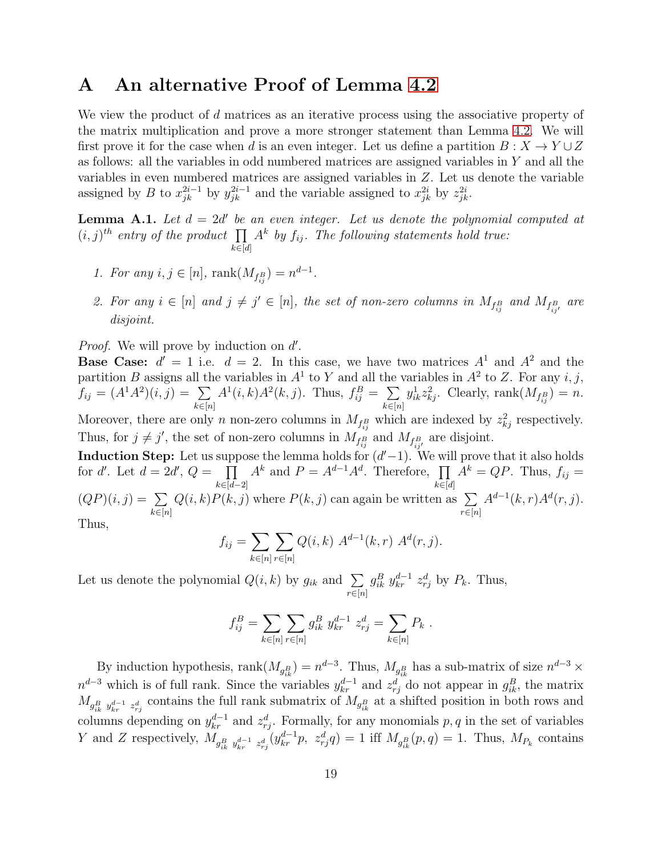### <span id="page-18-0"></span>A An alternative Proof of Lemma [4.2](#page-8-1)

We view the product of d matrices as an iterative process using the associative property of the matrix multiplication and prove a more stronger statement than Lemma [4.2.](#page-8-1) We will first prove it for the case when d is an even integer. Let us define a partition  $B: X \to Y \cup Z$ as follows: all the variables in odd numbered matrices are assigned variables in Y and all the variables in even numbered matrices are assigned variables in Z. Let us denote the variable assigned by B to  $x_{jk}^{2i-1}$  by  $y_{jk}^{2i-1}$  and the variable assigned to  $x_{jk}^{2i}$  by  $z_{jk}^{2i}$ .

**Lemma A.1.** Let  $d = 2d'$  be an even integer. Let us denote the polynomial computed at  $(i, j)^{th}$  entry of the product  $\prod A^k$  by  $f_{ij}$ . The following statements hold true:  $k \in [d]$ 

- 1. For any  $i, j \in [n]$ ,  $rank(M_{f_{ij}^B}) = n^{d-1}$ .
- 2. For any  $i \in [n]$  and  $j \neq j' \in [n]$ , the set of non-zero columns in  $M_{f_{ij}^B}$  and  $M_{f_{ij'}^B}$  are disjoint.

*Proof.* We will prove by induction on d'.

**Base Case:**  $d' = 1$  i.e.  $d = 2$ . In this case, we have two matrices  $A<sup>1</sup>$  and  $A<sup>2</sup>$  and the partition B assigns all the variables in  $A^1$  to Y and all the variables in  $A^2$  to Z. For any i, j,  $f_{ij} = (A^1 A^2)(i, j) = \sum$  $k \in [n]$  $A^1(i,k)A^2(k,j)$ . Thus,  $f_{ij}^B = \sum$  $k \in [n]$  $y_{ik}^1 z_{kj}^2$ . Clearly, rank $(M_{f_{ij}^B}) = n$ . Moreover, there are only n non-zero columns in  $M_{f_{ij}^B}$  which are indexed by  $z_{kj}^2$  respectively.

Thus, for  $j \neq j'$ , the set of non-zero columns in  $M_{f_{ij}^B}$  and  $M_{f_{ij'}^B}$  are disjoint.

Induction Step: Let us suppose the lemma holds for  $(d'-1)$ . We will prove that it also holds for d'. Let  $d = 2d'$ ,  $Q = \prod$  $k \in [d-2]$  $A^k$  and  $P = A^{d-1}A^d$ . Therefore,  $\prod$  $k \in [d]$  $A^k = QP$ . Thus,  $f_{ij} =$  $(QP)(i, j) = \sum$  $k \in [n]$  $Q(i,k)P(k, j)$  where  $P(k, j)$  can again be written as  $\Sigma$  $r \in [n]$  $A^{d-1}(k,r)A^{d}(r,j).$ Thus,

$$
f_{ij} = \sum_{k \in [n]} \sum_{r \in [n]} Q(i,k) \ A^{d-1}(k,r) \ A^d(r,j).
$$

Let us denote the polynomial  $Q(i, k)$  by  $g_{ik}$  and  $\Sigma$  $r \in [n]$  $g_{ik}^B y_{kr}^{d-1} z_{rj}^d$  by  $P_k$ . Thus,

$$
f_{ij}^B = \sum_{k \in [n]} \sum_{r \in [n]} g_{ik}^B y_{kr}^{d-1} z_{rj}^d = \sum_{k \in [n]} P_k.
$$

By induction hypothesis, rank $(M_{g_{ik}^B}) = n^{d-3}$ . Thus,  $M_{g_{ik}^B}$  has a sub-matrix of size  $n^{d-3} \times$  $n^{d-3}$  which is of full rank. Since the variables  $y_{kr}^{d-1}$  and  $z_{rj}^{d}$  do not appear in  $g_{ik}^{B}$ , the matrix  $M_{g_{ik}^B y_{kr}^{d-1} z_{rj}^d}$  contains the full rank submatrix of  $M_{g_{ik}^B}$  at a shifted position in both rows and columns depending on  $y_{kr}^{d-1}$  and  $z_{rj}^d$ . Formally, for any monomials p, q in the set of variables Y and Z respectively,  $M_{g_{ik}^B y_{kr}^{d-1} z_{rj}^d}(y_{kr}^{d-1}p, z_{rj}^d q) = 1$  iff  $M_{g_{ik}^B}(p,q) = 1$ . Thus,  $M_{P_k}$  contains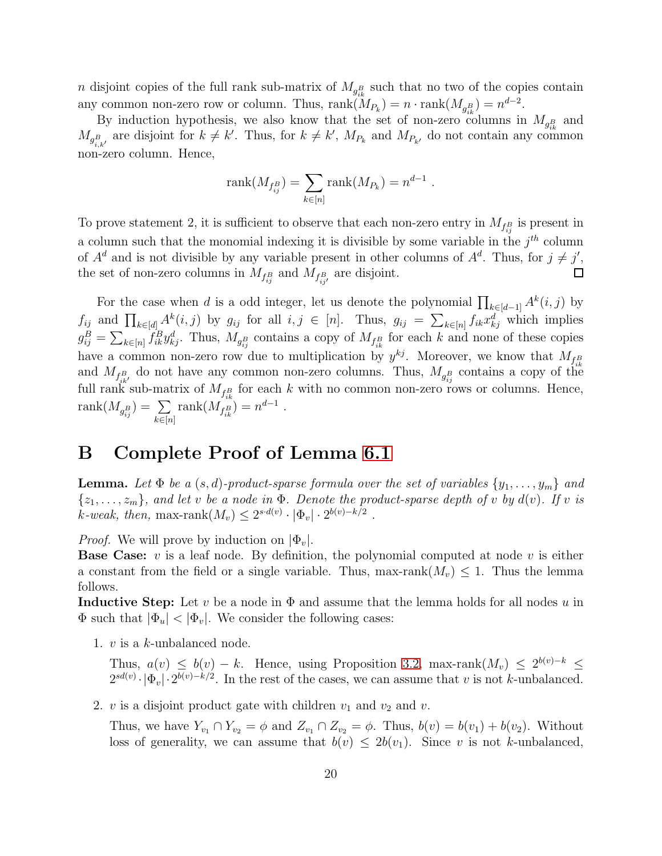*n* disjoint copies of the full rank sub-matrix of  $M_{g_{ik}^B}$  such that no two of the copies contain any common non-zero row or column. Thus,  $\text{rank}(M_{P_k}) = n \cdot \text{rank}(M_{g_{ik}^B}) = n^{d-2}$ .

By induction hypothesis, we also know that the set of non-zero columns in  $M_{g_{ik}^B}$  and  $M_{g_{i,k'}^B}$  are disjoint for  $k \neq k'$ . Thus, for  $k \neq k'$ ,  $M_{P_k}$  and  $M_{P_{k'}}$  do not contain any common non-zero column. Hence,

rank
$$
(M_{f_{ij}^B})
$$
 =  $\sum_{k \in [n]} rank(M_{P_k}) = n^{d-1}$ .

To prove statement 2, it is sufficient to observe that each non-zero entry in  $M_{f_{ij}^B}$  is present in a column such that the monomial indexing it is divisible by some variable in the  $j<sup>th</sup>$  column of  $A^d$  and is not divisible by any variable present in other columns of  $A^d$ . Thus, for  $j \neq j'$ , the set of non-zero columns in  $M_{f_{ij}^B}$  and  $M_{f_{ij'}^B}$  are disjoint.

For the case when d is a odd integer, let us denote the polynomial  $\prod_{k\in[d-1]} A^k(i,j)$  by  $f_{ij}$  and  $\prod_{k \in [d]} A^k(i, j)$  by  $g_{ij}$  for all  $i, j \in [n]$ . Thus,  $g_{ij} = \sum_{k \in [n]} f_{ik} x_{kj}^d$  which implies  $g_{ij}^B = \sum_{k \in [n]} f_{ik}^B y_{kj}^d$ . Thus,  $M_{g_{ij}^B}$  contains a copy of  $M_{f_{ik}^B}$  for each k and none of these copies have a common non-zero row due to multiplication by  $y^{kj}$ . Moreover, we know that  $M_{f_{ik}}$ and  $M_{f_{ik}^B}$  do not have any common non-zero columns. Thus,  $M_{g_{ij}^B}$  contains a copy of the full rank sub-matrix of  $M_{f_{ik}^B}$  for each k with no common non-zero rows or columns. Hence,  $\operatorname{rank}(M_{g_{ij}^B}) = \sum_i$  $k \in [n]$ rank $(M_{f_{ik}^B}) = n^{d-1}$ .

### <span id="page-19-0"></span>B Complete Proof of Lemma [6.1](#page-13-2)

**Lemma.** Let  $\Phi$  be a  $(s, d)$ -product-sparse formula over the set of variables  $\{y_1, \ldots, y_m\}$  and  $\{z_1, \ldots, z_m\}$ , and let v be a node in  $\Phi$ . Denote the product-sparse depth of v by  $d(v)$ . If v is k-weak, then, max-rank $(M_v) \leq 2^{s \cdot d(v)} \cdot |\Phi_v| \cdot 2^{b(v)-k/2}$ .

*Proof.* We will prove by induction on  $|\Phi_v|$ .

**Base Case:** v is a leaf node. By definition, the polynomial computed at node v is either a constant from the field or a single variable. Thus, max-rank $(M_v) \leq 1$ . Thus the lemma follows.

**Inductive Step:** Let v be a node in  $\Phi$  and assume that the lemma holds for all nodes u in  $\Phi$  such that  $|\Phi_u| < |\Phi_v|$ . We consider the following cases:

1. v is a k-unbalanced node.

Thus,  $a(v) \leq b(v) - k$ . Hence, using Proposition [3.2,](#page-6-2) max-rank $(M_v) \leq 2^{b(v)-k} \leq$  $2^{sd(v)} \cdot |\Phi_v| \cdot 2^{b(v)-k/2}$ . In the rest of the cases, we can assume that v is not k-unbalanced.

2.  $v$  is a disjoint product gate with children  $v_1$  and  $v_2$  and  $v$ .

Thus, we have  $Y_{v_1} \cap Y_{v_2} = \phi$  and  $Z_{v_1} \cap Z_{v_2} = \phi$ . Thus,  $b(v) = b(v_1) + b(v_2)$ . Without loss of generality, we can assume that  $b(v) \leq 2b(v_1)$ . Since v is not k-unbalanced,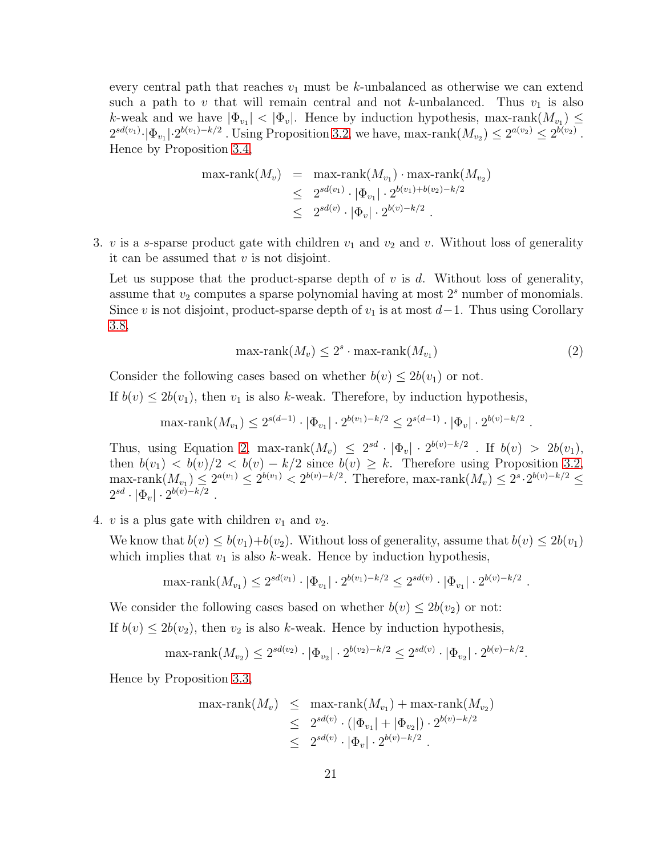every central path that reaches  $v_1$  must be k-unbalanced as otherwise we can extend such a path to v that will remain central and not k-unbalanced. Thus  $v_1$  is also k-weak and we have  $|\Phi_{v_1}| < |\Phi_v|$ . Hence by induction hypothesis, max-rank $(M_{v_1}) \le$  $2^{sd(v_1)} \cdot |\Phi_{v_1}| \cdot 2^{b(v_1)-k/2}$ . Using Proposition [3.2,](#page-6-2) we have, max-rank $(M_{v_2}) \leq 2^{a(v_2)} \leq 2^{b(v_2)}$ . Hence by Proposition [3.4,](#page-6-3)

$$
\begin{array}{rcl}\n\max\text{-rank}(M_v) & = & \max\text{-rank}(M_{v_1}) \cdot \max\text{-rank}(M_{v_2}) \\
& \leq & 2^{sd(v_1)} \cdot |\Phi_{v_1}| \cdot 2^{b(v_1) + b(v_2) - k/2} \\
& \leq & 2^{sd(v)} \cdot |\Phi_v| \cdot 2^{b(v) - k/2}\n\end{array}
$$

3. v is a s-sparse product gate with children  $v_1$  and  $v_2$  and v. Without loss of generality it can be assumed that  $v$  is not disjoint.

Let us suppose that the product-sparse depth of  $v$  is  $d$ . Without loss of generality, assume that  $v_2$  computes a sparse polynomial having at most  $2<sup>s</sup>$  number of monomials. Since v is not disjoint, product-sparse depth of  $v_1$  is at most  $d-1$ . Thus using Corollary [3.8,](#page-7-2)

<span id="page-20-0"></span>
$$
\max\text{-rank}(M_v) \le 2^s \cdot \max\text{-rank}(M_{v_1})\tag{2}
$$

.

Consider the following cases based on whether  $b(v) \leq 2b(v_1)$  or not.

If  $b(v) \leq 2b(v_1)$ , then  $v_1$  is also k-weak. Therefore, by induction hypothesis,

max-rank $(M_{v_1}) \leq 2^{s(d-1)} \cdot |\Phi_{v_1}| \cdot 2^{b(v_1)-k/2} \leq 2^{s(d-1)} \cdot |\Phi_v| \cdot 2^{b(v)-k/2}$ .

Thus, using Equation [2,](#page-20-0) max-rank $(M_v) \leq 2^{sd} \cdot |\Phi_v| \cdot 2^{b(v)-k/2}$ . If  $b(v) > 2b(v_1)$ , then  $b(v_1) < b(v)/2 < b(v) - k/2$  since  $b(v) \geq k$ . Therefore using Proposition [3.2,](#page-6-2)  $\max\{\Delta t_{v_1}\}\leq 2^{a(v_1)}\leq 2^{b(v_1)}< 2^{b(v)-k/2}$ . Therefore,  $\max\{\Delta t_{v}\}\leq 2^{s}\cdot 2^{b(v)-k/2}\leq$  $2^{sd} \cdot |\Phi_v| \cdot 2^{b(v)-k/2}$ .

4. v is a plus gate with children  $v_1$  and  $v_2$ .

We know that  $b(v) \leq b(v_1)+b(v_2)$ . Without loss of generality, assume that  $b(v) \leq 2b(v_1)$ which implies that  $v_1$  is also k-weak. Hence by induction hypothesis,

$$
\max\text{-rank}(M_{v_1}) \le 2^{sd(v_1)} \cdot |\Phi_{v_1}| \cdot 2^{b(v_1) - k/2} \le 2^{sd(v)} \cdot |\Phi_{v_1}| \cdot 2^{b(v) - k/2}
$$

We consider the following cases based on whether  $b(v) \leq 2b(v_2)$  or not: If  $b(v) \leq 2b(v_2)$ , then  $v_2$  is also k-weak. Hence by induction hypothesis,

$$
\max\text{-rank}(M_{v_2}) \le 2^{sd(v_2)} \cdot |\Phi_{v_2}| \cdot 2^{b(v_2) - k/2} \le 2^{sd(v)} \cdot |\Phi_{v_2}| \cdot 2^{b(v) - k/2}.
$$

Hence by Proposition [3.3,](#page-6-1)

$$
\begin{array}{rcl}\n\max\text{-rank}(M_v) & \leq & \max\text{-rank}(M_{v_1}) + \max\text{-rank}(M_{v_2}) \\
& \leq & 2^{sd(v)} \cdot (|\Phi_{v_1}| + |\Phi_{v_2}|) \cdot 2^{b(v) - k/2} \\
& \leq & 2^{sd(v)} \cdot |\Phi_v| \cdot 2^{b(v) - k/2}\n\end{array}
$$